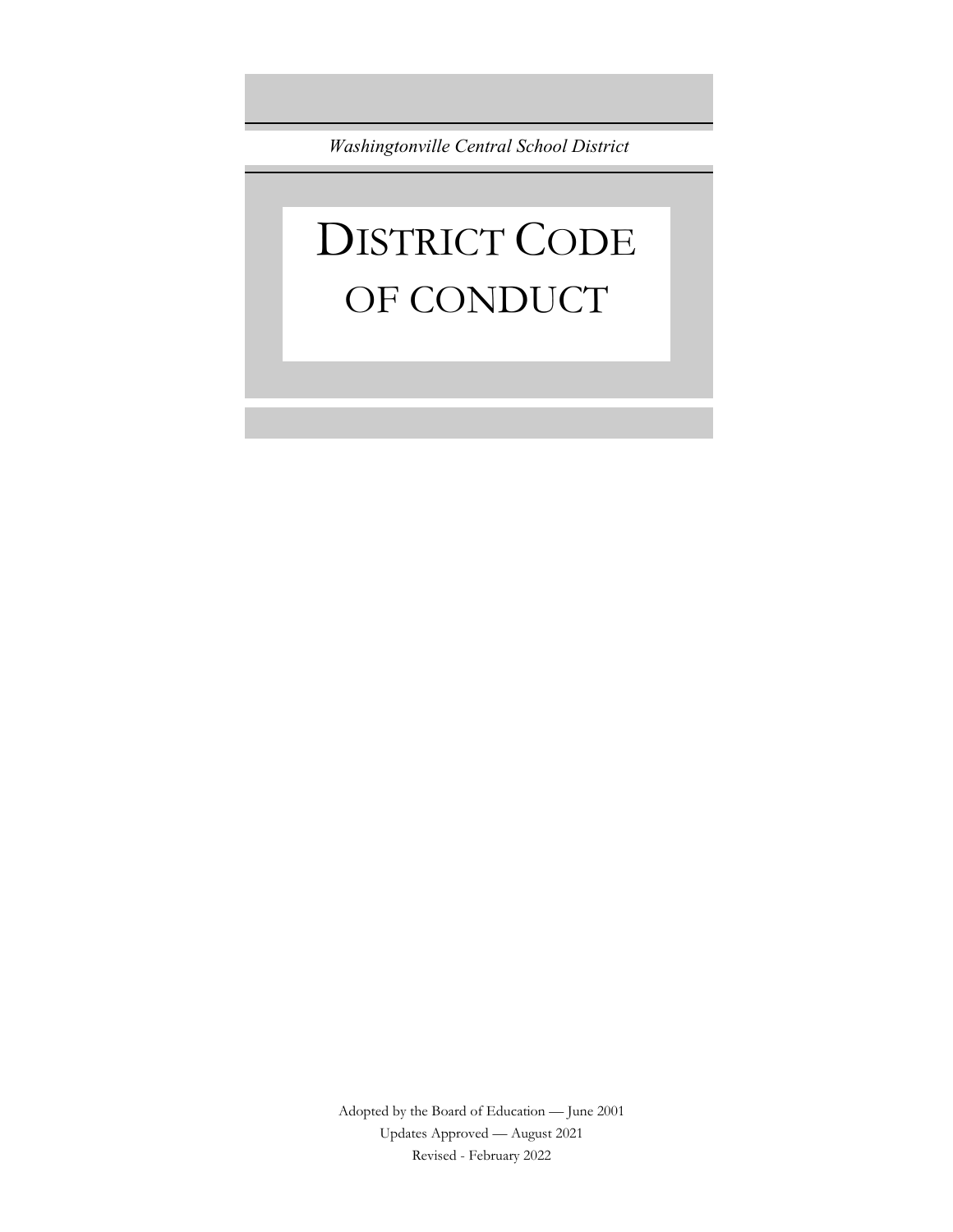*Washingtonville Central School District*

# DISTRICT CODE OF CONDUCT

Adopted by the Board of Education — June 2001 Updates Approved — August 2021 Revised - February 2022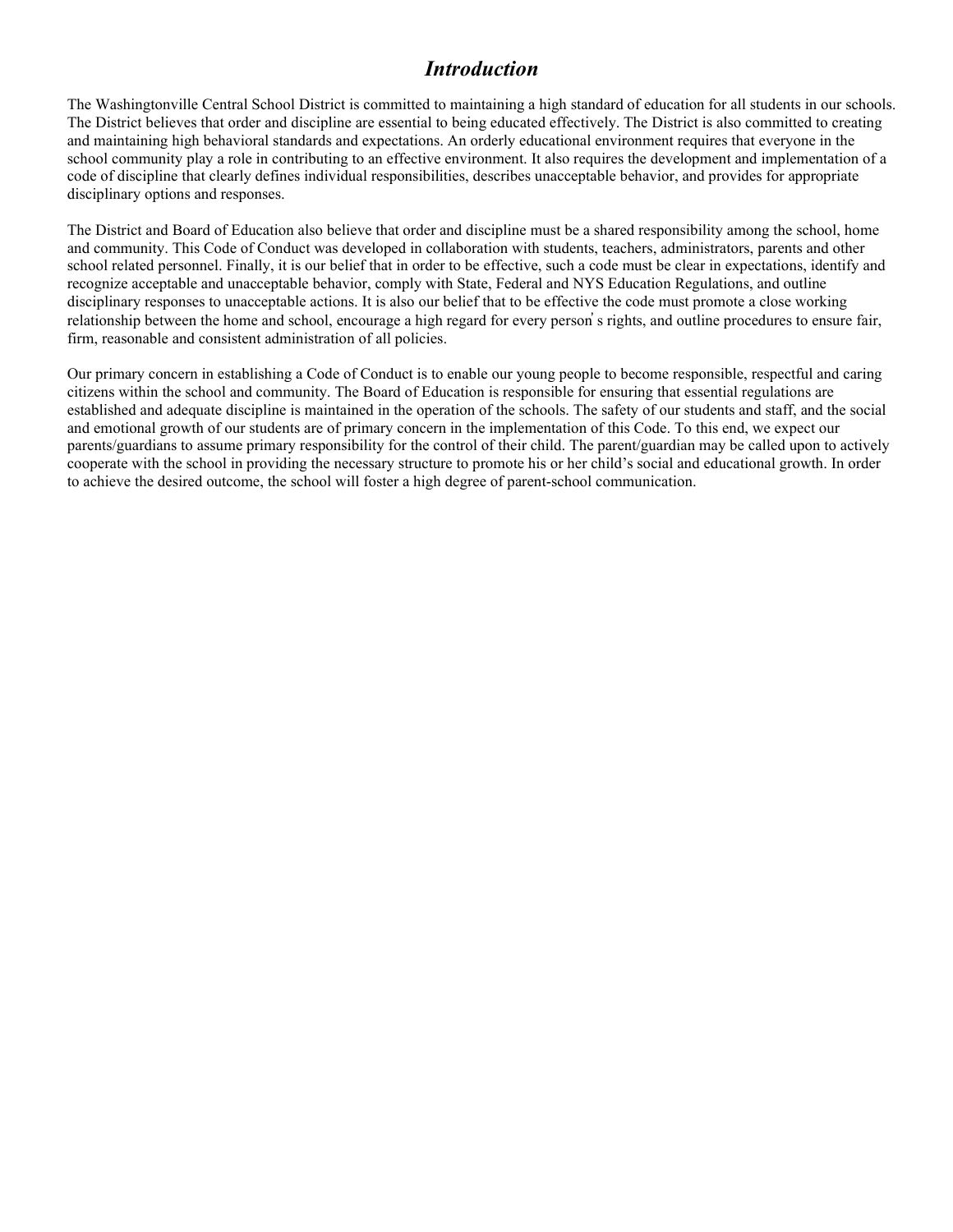### *Introduction*

The Washingtonville Central School District is committed to maintaining a high standard of education for all students in our schools. The District believes that order and discipline are essential to being educated effectively. The District is also committed to creating and maintaining high behavioral standards and expectations. An orderly educational environment requires that everyone in the school community play a role in contributing to an effective environment. It also requires the development and implementation of a code of discipline that clearly defines individual responsibilities, describes unacceptable behavior, and provides for appropriate disciplinary options and responses.

The District and Board of Education also believe that order and discipline must be a shared responsibility among the school, home and community. This Code of Conduct was developed in collaboration with students, teachers, administrators, parents and other school related personnel. Finally, it is our belief that in order to be effective, such a code must be clear in expectations, identify and recognize acceptable and unacceptable behavior, comply with State, Federal and NYS Education Regulations, and outline disciplinary responses to unacceptable actions. It is also our belief that to be effective the code must promote a close working relationship between the home and school, encourage a high regard for every person̓ s rights, and outline procedures to ensure fair, firm, reasonable and consistent administration of all policies.

Our primary concern in establishing a Code of Conduct is to enable our young people to become responsible, respectful and caring citizens within the school and community. The Board of Education is responsible for ensuring that essential regulations are established and adequate discipline is maintained in the operation of the schools. The safety of our students and staff, and the social and emotional growth of our students are of primary concern in the implementation of this Code. To this end, we expect our parents/guardians to assume primary responsibility for the control of their child. The parent/guardian may be called upon to actively cooperate with the school in providing the necessary structure to promote his or her child's social and educational growth. In order to achieve the desired outcome, the school will foster a high degree of parent-school communication.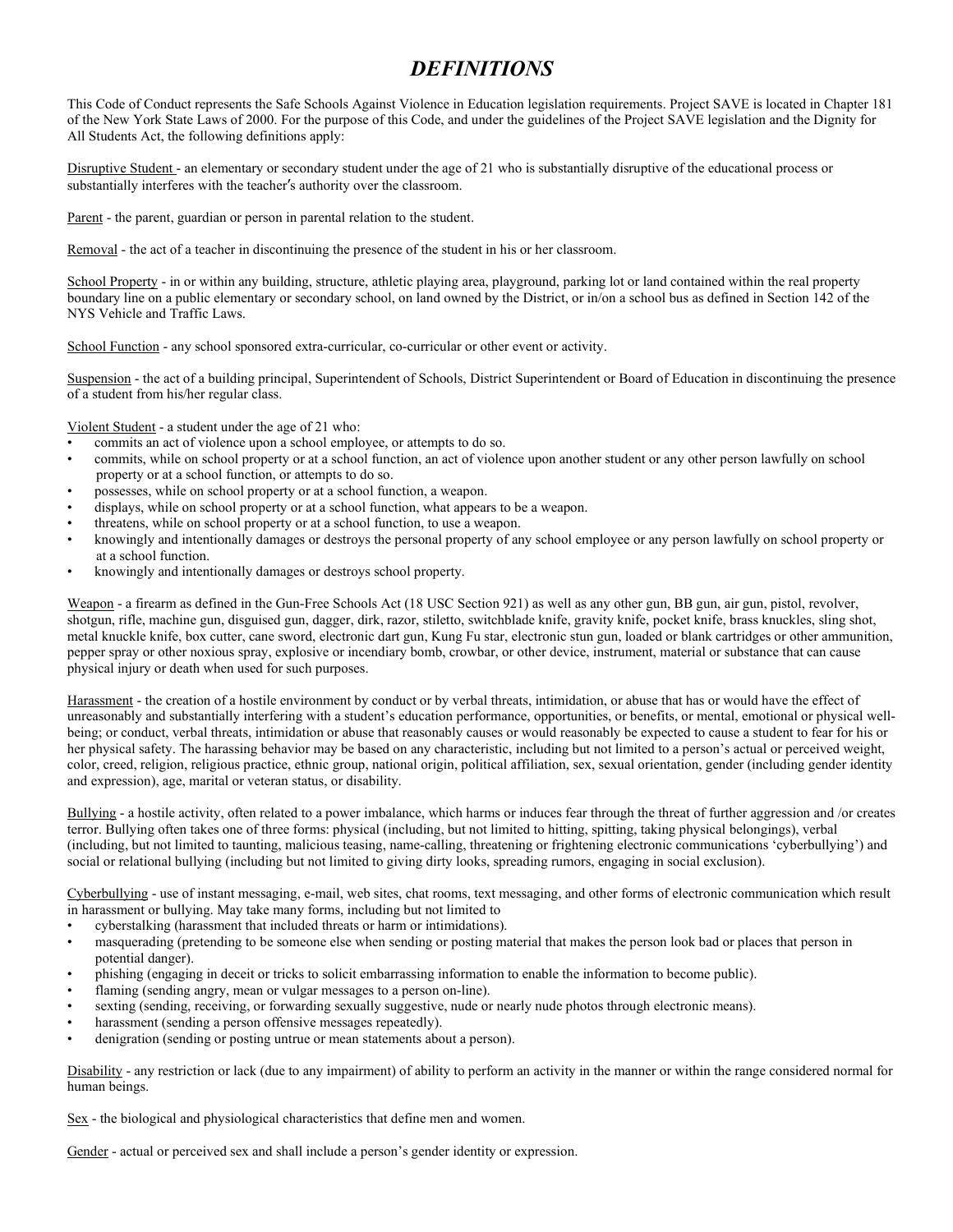### *DEFINITIONS*

This Code of Conduct represents the Safe Schools Against Violence in Education legislation requirements. Project SAVE is located in Chapter 181 of the New York State Laws of 2000. For the purpose of this Code, and under the guidelines of the Project SAVE legislation and the Dignity for All Students Act, the following definitions apply:

Disruptive Student - an elementary or secondary student under the age of 21 who is substantially disruptive of the educational process or substantially interferes with the teacher's authority over the classroom.

Parent - the parent, guardian or person in parental relation to the student.

Removal - the act of a teacher in discontinuing the presence of the student in his or her classroom.

School Property - in or within any building, structure, athletic playing area, playground, parking lot or land contained within the real property boundary line on a public elementary or secondary school, on land owned by the District, or in/on a school bus as defined in Section 142 of the NYS Vehicle and Traffic Laws.

School Function - any school sponsored extra-curricular, co-curricular or other event or activity.

Suspension - the act of a building principal, Superintendent of Schools, District Superintendent or Board of Education in discontinuing the presence of a student from his/her regular class.

Violent Student - a student under the age of 21 who:

- commits an act of violence upon a school employee, or attempts to do so.
- commits, while on school property or at a school function, an act of violence upon another student or any other person lawfully on school property or at a school function, or attempts to do so.
- possesses, while on school property or at a school function, a weapon.
- displays, while on school property or at a school function, what appears to be a weapon.
- threatens, while on school property or at a school function, to use a weapon.
- knowingly and intentionally damages or destroys the personal property of any school employee or any person lawfully on school property or at a school function.
- knowingly and intentionally damages or destroys school property.

Weapon - a firearm as defined in the Gun-Free Schools Act (18 USC Section 921) as well as any other gun, BB gun, air gun, pistol, revolver, shotgun, rifle, machine gun, disguised gun, dagger, dirk, razor, stiletto, switchblade knife, gravity knife, pocket knife, brass knuckles, sling shot, metal knuckle knife, box cutter, cane sword, electronic dart gun, Kung Fu star, electronic stun gun, loaded or blank cartridges or other ammunition, pepper spray or other noxious spray, explosive or incendiary bomb, crowbar, or other device, instrument, material or substance that can cause physical injury or death when used for such purposes.

Harassment - the creation of a hostile environment by conduct or by verbal threats, intimidation, or abuse that has or would have the effect of unreasonably and substantially interfering with a student's education performance, opportunities, or benefits, or mental, emotional or physical wellbeing; or conduct, verbal threats, intimidation or abuse that reasonably causes or would reasonably be expected to cause a student to fear for his or her physical safety. The harassing behavior may be based on any characteristic, including but not limited to a person's actual or perceived weight, color, creed, religion, religious practice, ethnic group, national origin, political affiliation, sex, sexual orientation, gender (including gender identity and expression), age, marital or veteran status, or disability.

Bullying - a hostile activity, often related to a power imbalance, which harms or induces fear through the threat of further aggression and /or creates terror. Bullying often takes one of three forms: physical (including, but not limited to hitting, spitting, taking physical belongings), verbal (including, but not limited to taunting, malicious teasing, name-calling, threatening or frightening electronic communications 'cyberbullying') and social or relational bullying (including but not limited to giving dirty looks, spreading rumors, engaging in social exclusion).

Cyberbullying - use of instant messaging, e-mail, web sites, chat rooms, text messaging, and other forms of electronic communication which result in harassment or bullying. May take many forms, including but not limited to

- cyberstalking (harassment that included threats or harm or intimidations).
- masquerading (pretending to be someone else when sending or posting material that makes the person look bad or places that person in potential danger).
- phishing (engaging in deceit or tricks to solicit embarrassing information to enable the information to become public).
- flaming (sending angry, mean or vulgar messages to a person on-line).
- sexting (sending, receiving, or forwarding sexually suggestive, nude or nearly nude photos through electronic means).
- harassment (sending a person offensive messages repeatedly).
- denigration (sending or posting untrue or mean statements about a person).

Disability - any restriction or lack (due to any impairment) of ability to perform an activity in the manner or within the range considered normal for human beings.

Sex - the biological and physiological characteristics that define men and women.

Gender - actual or perceived sex and shall include a person's gender identity or expression.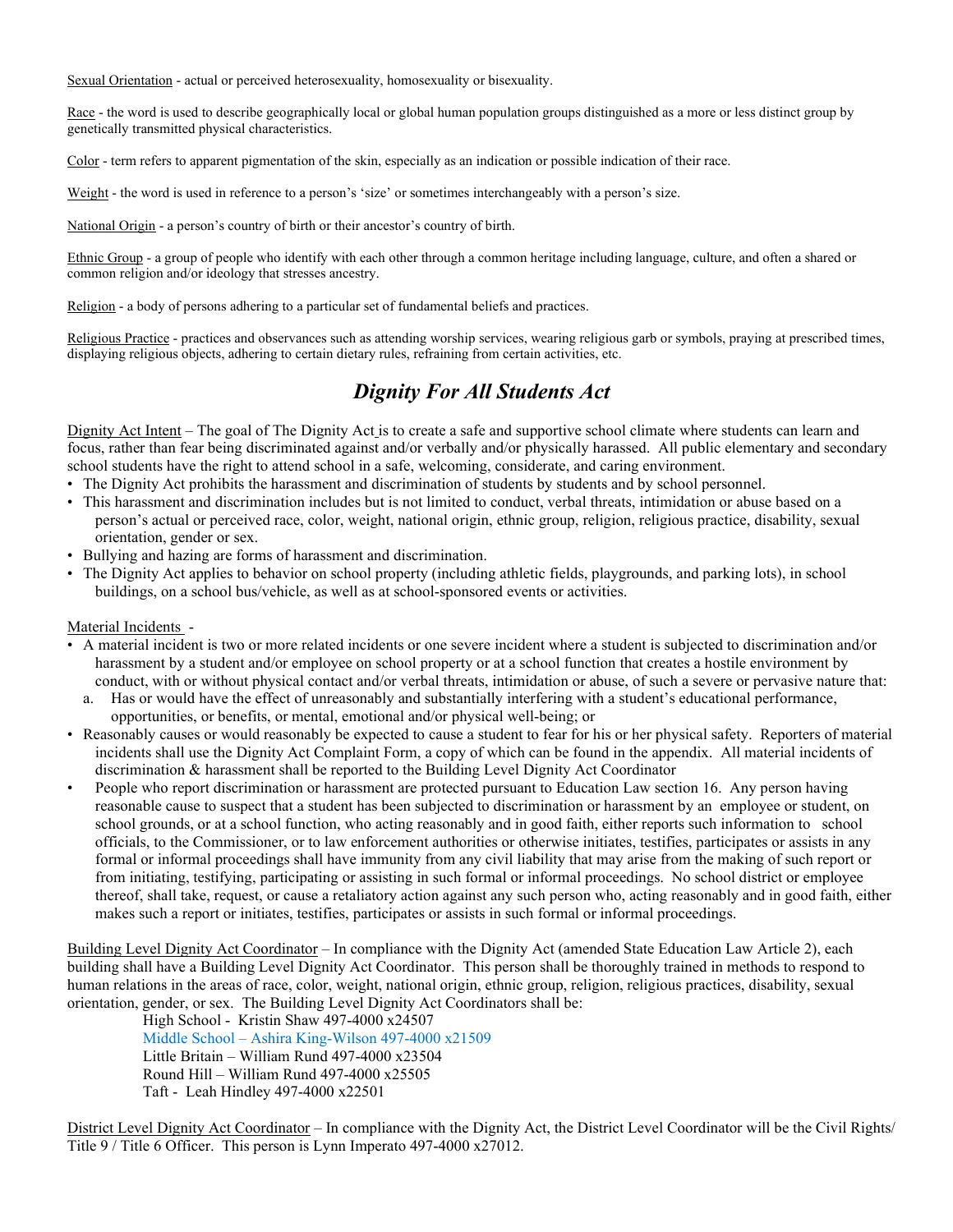Sexual Orientation - actual or perceived heterosexuality, homosexuality or bisexuality.

Race - the word is used to describe geographically local or global human population groups distinguished as a more or less distinct group by genetically transmitted physical characteristics.

Color - term refers to apparent pigmentation of the skin, especially as an indication or possible indication of their race.

Weight - the word is used in reference to a person's 'size' or sometimes interchangeably with a person's size.

National Origin - a person's country of birth or their ancestor's country of birth.

Ethnic Group - a group of people who identify with each other through a common heritage including language, culture, and often a shared or common religion and/or ideology that stresses ancestry.

Religion - a body of persons adhering to a particular set of fundamental beliefs and practices.

Religious Practice - practices and observances such as attending worship services, wearing religious garb or symbols, praying at prescribed times, displaying religious objects, adhering to certain dietary rules, refraining from certain activities, etc.

### *Dignity For All Students Act*

Dignity Act Intent – The goal of The Dignity Act is to create a safe and supportive school climate where students can learn and focus, rather than fear being discriminated against and/or verbally and/or physically harassed. All public elementary and secondary school students have the right to attend school in a safe, welcoming, considerate, and caring environment.

- The Dignity Act prohibits the harassment and discrimination of students by students and by school personnel.
- This harassment and discrimination includes but is not limited to conduct, verbal threats, intimidation or abuse based on a person's actual or perceived race, color, weight, national origin, ethnic group, religion, religious practice, disability, sexual orientation, gender or sex.
- Bullying and hazing are forms of harassment and discrimination.
- The Dignity Act applies to behavior on school property (including athletic fields, playgrounds, and parking lots), in school buildings, on a school bus/vehicle, as well as at school-sponsored events or activities.

#### Material Incidents -

- A material incident is two or more related incidents or one severe incident where a student is subjected to discrimination and/or harassment by a student and/or employee on school property or at a school function that creates a hostile environment by conduct, with or without physical contact and/or verbal threats, intimidation or abuse, of such a severe or pervasive nature that:
	- a. Has or would have the effect of unreasonably and substantially interfering with a student's educational performance, opportunities, or benefits, or mental, emotional and/or physical well-being; or
- Reasonably causes or would reasonably be expected to cause a student to fear for his or her physical safety. Reporters of material incidents shall use the Dignity Act Complaint Form, a copy of which can be found in the appendix. All material incidents of discrimination & harassment shall be reported to the Building Level Dignity Act Coordinator
- People who report discrimination or harassment are protected pursuant to Education Law section 16. Any person having reasonable cause to suspect that a student has been subjected to discrimination or harassment by an employee or student, on school grounds, or at a school function, who acting reasonably and in good faith, either reports such information to school officials, to the Commissioner, or to law enforcement authorities or otherwise initiates, testifies, participates or assists in any formal or informal proceedings shall have immunity from any civil liability that may arise from the making of such report or from initiating, testifying, participating or assisting in such formal or informal proceedings. No school district or employee thereof, shall take, request, or cause a retaliatory action against any such person who, acting reasonably and in good faith, either makes such a report or initiates, testifies, participates or assists in such formal or informal proceedings.

Building Level Dignity Act Coordinator – In compliance with the Dignity Act (amended State Education Law Article 2), each building shall have a Building Level Dignity Act Coordinator. This person shall be thoroughly trained in methods to respond to human relations in the areas of race, color, weight, national origin, ethnic group, religion, religious practices, disability, sexual orientation, gender, or sex. The Building Level Dignity Act Coordinators shall be:

High School - Kristin Shaw 497-4000 x24507 Middle School – Ashira King-Wilson 497-4000 x21509 Little Britain – William Rund 497-4000 x23504 Round Hill – William Rund 497-4000 x25505 Taft - Leah Hindley 497-4000 x22501

District Level Dignity Act Coordinator – In compliance with the Dignity Act, the District Level Coordinator will be the Civil Rights/ Title 9 / Title 6 Officer. This person is Lynn Imperato 497-4000 x27012.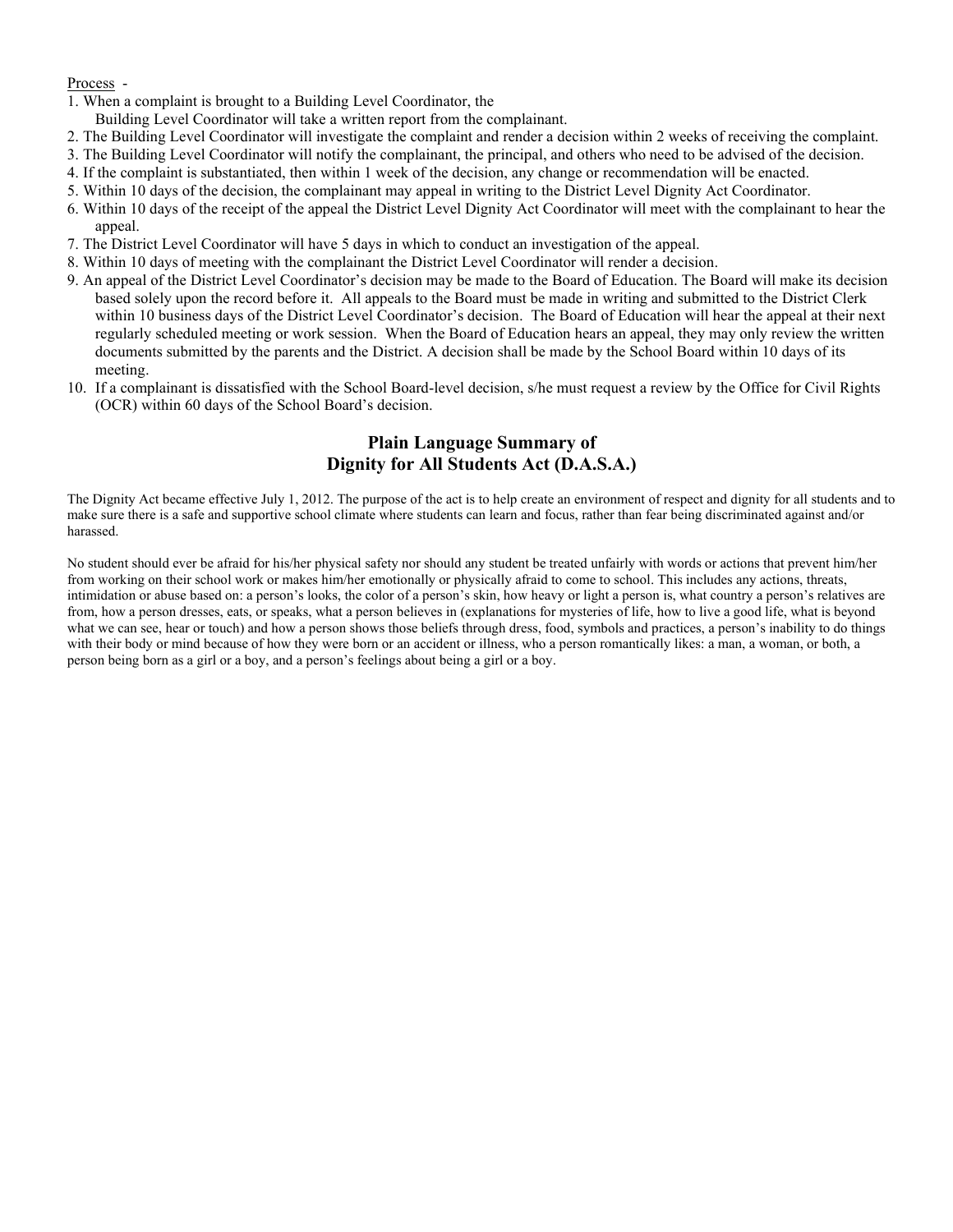#### Process -

- 1. When a complaint is brought to a Building Level Coordinator, the
- Building Level Coordinator will take a written report from the complainant.
- 2. The Building Level Coordinator will investigate the complaint and render a decision within 2 weeks of receiving the complaint.
- 3. The Building Level Coordinator will notify the complainant, the principal, and others who need to be advised of the decision.
- 4. If the complaint is substantiated, then within 1 week of the decision, any change or recommendation will be enacted.
- 5. Within 10 days of the decision, the complainant may appeal in writing to the District Level Dignity Act Coordinator.
- 6. Within 10 days of the receipt of the appeal the District Level Dignity Act Coordinator will meet with the complainant to hear the appeal.
- 7. The District Level Coordinator will have 5 days in which to conduct an investigation of the appeal.
- 8. Within 10 days of meeting with the complainant the District Level Coordinator will render a decision.
- 9. An appeal of the District Level Coordinator's decision may be made to the Board of Education. The Board will make its decision based solely upon the record before it. All appeals to the Board must be made in writing and submitted to the District Clerk within 10 business days of the District Level Coordinator's decision. The Board of Education will hear the appeal at their next regularly scheduled meeting or work session. When the Board of Education hears an appeal, they may only review the written documents submitted by the parents and the District. A decision shall be made by the School Board within 10 days of its meeting.
- 10. If a complainant is dissatisfied with the School Board-level decision, s/he must request a review by the Office for Civil Rights (OCR) within 60 days of the School Board's decision.

### **Plain Language Summary of Dignity for All Students Act (D.A.S.A.)**

The Dignity Act became effective July 1, 2012. The purpose of the act is to help create an environment of respect and dignity for all students and to make sure there is a safe and supportive school climate where students can learn and focus, rather than fear being discriminated against and/or harassed.

No student should ever be afraid for his/her physical safety nor should any student be treated unfairly with words or actions that prevent him/her from working on their school work or makes him/her emotionally or physically afraid to come to school. This includes any actions, threats, intimidation or abuse based on: a person's looks, the color of a person's skin, how heavy or light a person is, what country a person's relatives are from, how a person dresses, eats, or speaks, what a person believes in (explanations for mysteries of life, how to live a good life, what is beyond what we can see, hear or touch) and how a person shows those beliefs through dress, food, symbols and practices, a person's inability to do things with their body or mind because of how they were born or an accident or illness, who a person romantically likes: a man, a woman, or both, a person being born as a girl or a boy, and a person's feelings about being a girl or a boy.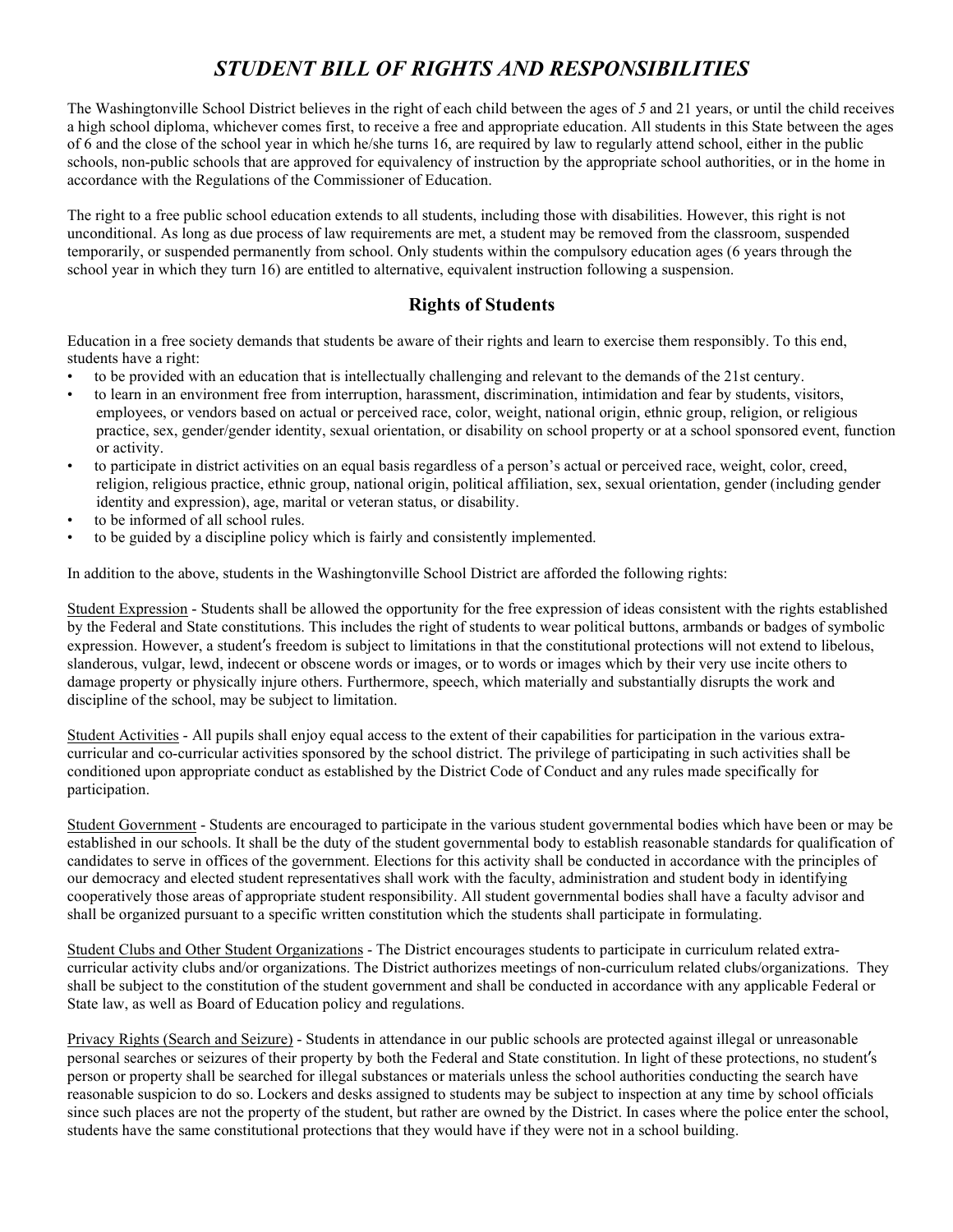### *STUDENT BILL OF RIGHTS AND RESPONSIBILITIES*

The Washingtonville School District believes in the right of each child between the ages of *5* and 21 years, or until the child receives a high school diploma, whichever comes first, to receive a free and appropriate education. All students in this State between the ages of 6 and the close of the school year in which he/she turns 16, are required by law to regularly attend school, either in the public schools, non-public schools that are approved for equivalency of instruction by the appropriate school authorities, or in the home in accordance with the Regulations of the Commissioner of Education.

The right to a free public school education extends to all students, including those with disabilities. However, this right is not unconditional. As long as due process of law requirements are met, a student may be removed from the classroom, suspended temporarily, or suspended permanently from school. Only students within the compulsory education ages (6 years through the school year in which they turn 16) are entitled to alternative, equivalent instruction following a suspension.

### **Rights of Students**

Education in a free society demands that students be aware of their rights and learn to exercise them responsibly. To this end, students have a right:

- to be provided with an education that is intellectually challenging and relevant to the demands of the 21st century.
- to learn in an environment free from interruption, harassment, discrimination, intimidation and fear by students, visitors, employees, or vendors based on actual or perceived race, color, weight, national origin, ethnic group, religion, or religious practice, sex, gender/gender identity, sexual orientation, or disability on school property or at a school sponsored event, function or activity.
- to participate in district activities on an equal basis regardless of a person's actual or perceived race, weight, color, creed, religion, religious practice, ethnic group, national origin, political affiliation, sex, sexual orientation, gender (including gender identity and expression), age, marital or veteran status, or disability.
- to be informed of all school rules.
- to be guided by a discipline policy which is fairly and consistently implemented.

In addition to the above, students in the Washingtonville School District are afforded the following rights:

Student Expression - Students shall be allowed the opportunity for the free expression of ideas consistent with the rights established by the Federal and State constitutions. This includes the right of students to wear political buttons, armbands or badges of symbolic expression. However, a student's freedom is subject to limitations in that the constitutional protections will not extend to libelous, slanderous, vulgar, lewd, indecent or obscene words or images, or to words or images which by their very use incite others to damage property or physically injure others. Furthermore, speech, which materially and substantially disrupts the work and discipline of the school, may be subject to limitation.

Student Activities - All pupils shall enjoy equal access to the extent of their capabilities for participation in the various extracurricular and co-curricular activities sponsored by the school district. The privilege of participating in such activities shall be conditioned upon appropriate conduct as established by the District Code of Conduct and any rules made specifically for participation.

Student Government - Students are encouraged to participate in the various student governmental bodies which have been or may be established in our schools. It shall be the duty of the student governmental body to establish reasonable standards for qualification of candidates to serve in offices of the government. Elections for this activity shall be conducted in accordance with the principles of our democracy and elected student representatives shall work with the faculty, administration and student body in identifying cooperatively those areas of appropriate student responsibility. All student governmental bodies shall have a faculty advisor and shall be organized pursuant to a specific written constitution which the students shall participate in formulating.

Student Clubs and Other Student Organizations - The District encourages students to participate in curriculum related extracurricular activity clubs and/or organizations. The District authorizes meetings of non-curriculum related clubs/organizations. They shall be subject to the constitution of the student government and shall be conducted in accordance with any applicable Federal or State law, as well as Board of Education policy and regulations.

Privacy Rights (Search and Seizure) - Students in attendance in our public schools are protected against illegal or unreasonable personal searches or seizures of their property by both the Federal and State constitution. In light of these protections, no student's person or property shall be searched for illegal substances or materials unless the school authorities conducting the search have reasonable suspicion to do so. Lockers and desks assigned to students may be subject to inspection at any time by school officials since such places are not the property of the student, but rather are owned by the District. In cases where the police enter the school, students have the same constitutional protections that they would have if they were not in a school building.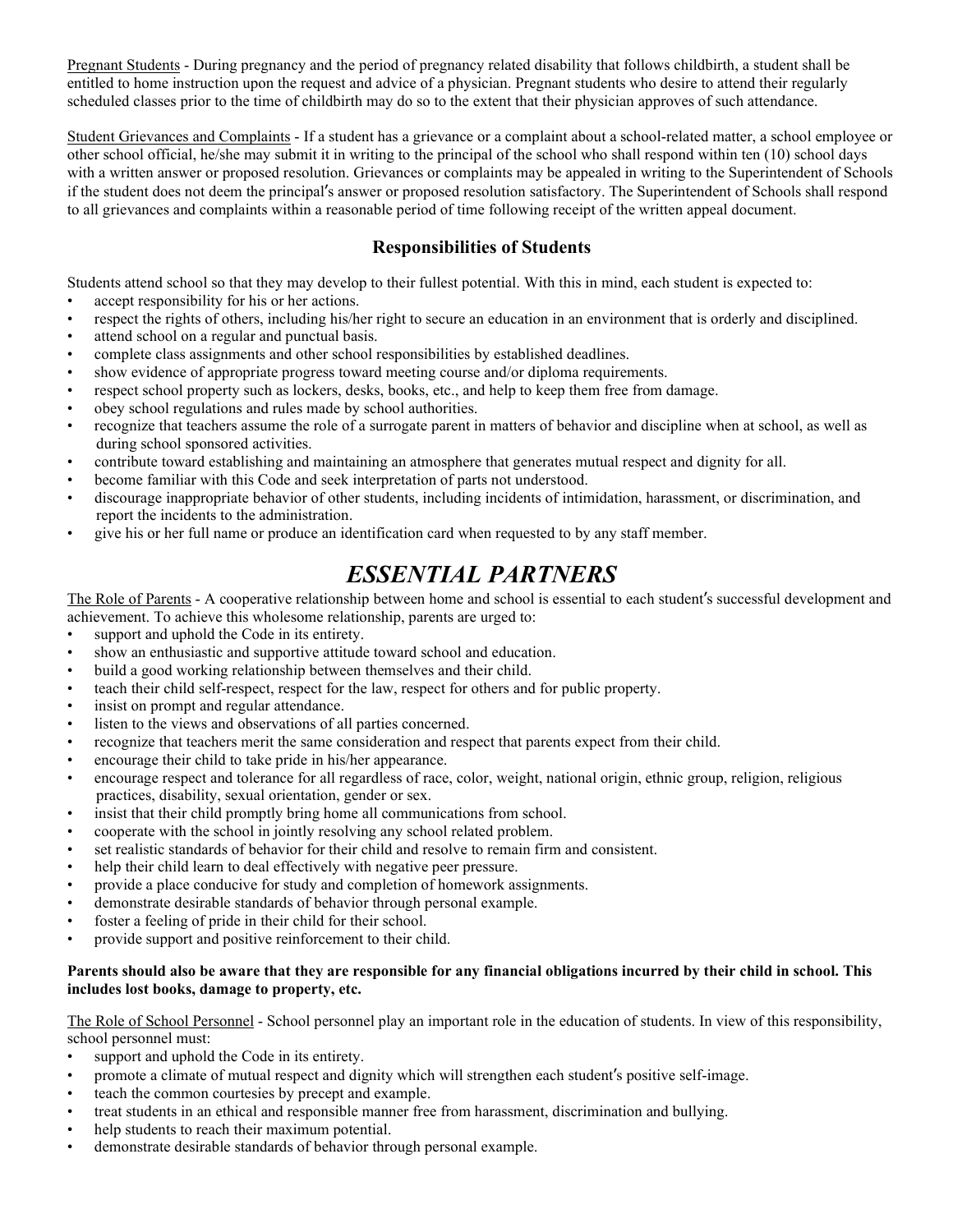Pregnant Students - During pregnancy and the period of pregnancy related disability that follows childbirth, a student shall be entitled to home instruction upon the request and advice of a physician. Pregnant students who desire to attend their regularly scheduled classes prior to the time of childbirth may do so to the extent that their physician approves of such attendance.

Student Grievances and Complaints - If a student has a grievance or a complaint about a school-related matter, a school employee or other school official, he/she may submit it in writing to the principal of the school who shall respond within ten (10) school days with a written answer or proposed resolution. Grievances or complaints may be appealed in writing to the Superintendent of Schools if the student does not deem the principal's answer or proposed resolution satisfactory. The Superintendent of Schools shall respond to all grievances and complaints within a reasonable period of time following receipt of the written appeal document.

### **Responsibilities of Students**

Students attend school so that they may develop to their fullest potential. With this in mind, each student is expected to:

- accept responsibility for his or her actions.
- respect the rights of others, including his/her right to secure an education in an environment that is orderly and disciplined.
- attend school on a regular and punctual basis.
- complete class assignments and other school responsibilities by established deadlines.
- show evidence of appropriate progress toward meeting course and/or diploma requirements.
- respect school property such as lockers, desks, books, etc., and help to keep them free from damage.
- obey school regulations and rules made by school authorities.
- recognize that teachers assume the role of a surrogate parent in matters of behavior and discipline when at school, as well as during school sponsored activities.
- contribute toward establishing and maintaining an atmosphere that generates mutual respect and dignity for all.
- become familiar with this Code and seek interpretation of parts not understood.
- discourage inappropriate behavior of other students, including incidents of intimidation, harassment, or discrimination, and report the incidents to the administration.
- give his or her full name or produce an identification card when requested to by any staff member.

# *ESSENTIAL PARTNERS*

The Role of Parents - A cooperative relationship between home and school is essential to each student's successful development and achievement. To achieve this wholesome relationship, parents are urged to:

- support and uphold the Code in its entirety.
- show an enthusiastic and supportive attitude toward school and education.
- build a good working relationship between themselves and their child.
- teach their child self-respect, respect for the law, respect for others and for public property.
- insist on prompt and regular attendance.
- listen to the views and observations of all parties concerned.
- recognize that teachers merit the same consideration and respect that parents expect from their child.
- encourage their child to take pride in his/her appearance.
- encourage respect and tolerance for all regardless of race, color, weight, national origin, ethnic group, religion, religious practices, disability, sexual orientation, gender or sex.
- insist that their child promptly bring home all communications from school.
- cooperate with the school in jointly resolving any school related problem.
- set realistic standards of behavior for their child and resolve to remain firm and consistent.
- help their child learn to deal effectively with negative peer pressure.
- provide a place conducive for study and completion of homework assignments.
- demonstrate desirable standards of behavior through personal example.
- foster a feeling of pride in their child for their school.
- provide support and positive reinforcement to their child.

### **Parents should also be aware that they are responsible for any financial obligations incurred by their child in school. This includes lost books, damage to property, etc.**

The Role of School Personnel - School personnel play an important role in the education of students. In view of this responsibility, school personnel must:

- support and uphold the Code in its entirety.
- promote a climate of mutual respect and dignity which will strengthen each student's positive self-image.<br>• teach the common courtesies by precept and example.
- teach the common courtesies by precept and example.
- treat students in an ethical and responsible manner free from harassment, discrimination and bullying.
- help students to reach their maximum potential.
- demonstrate desirable standards of behavior through personal example.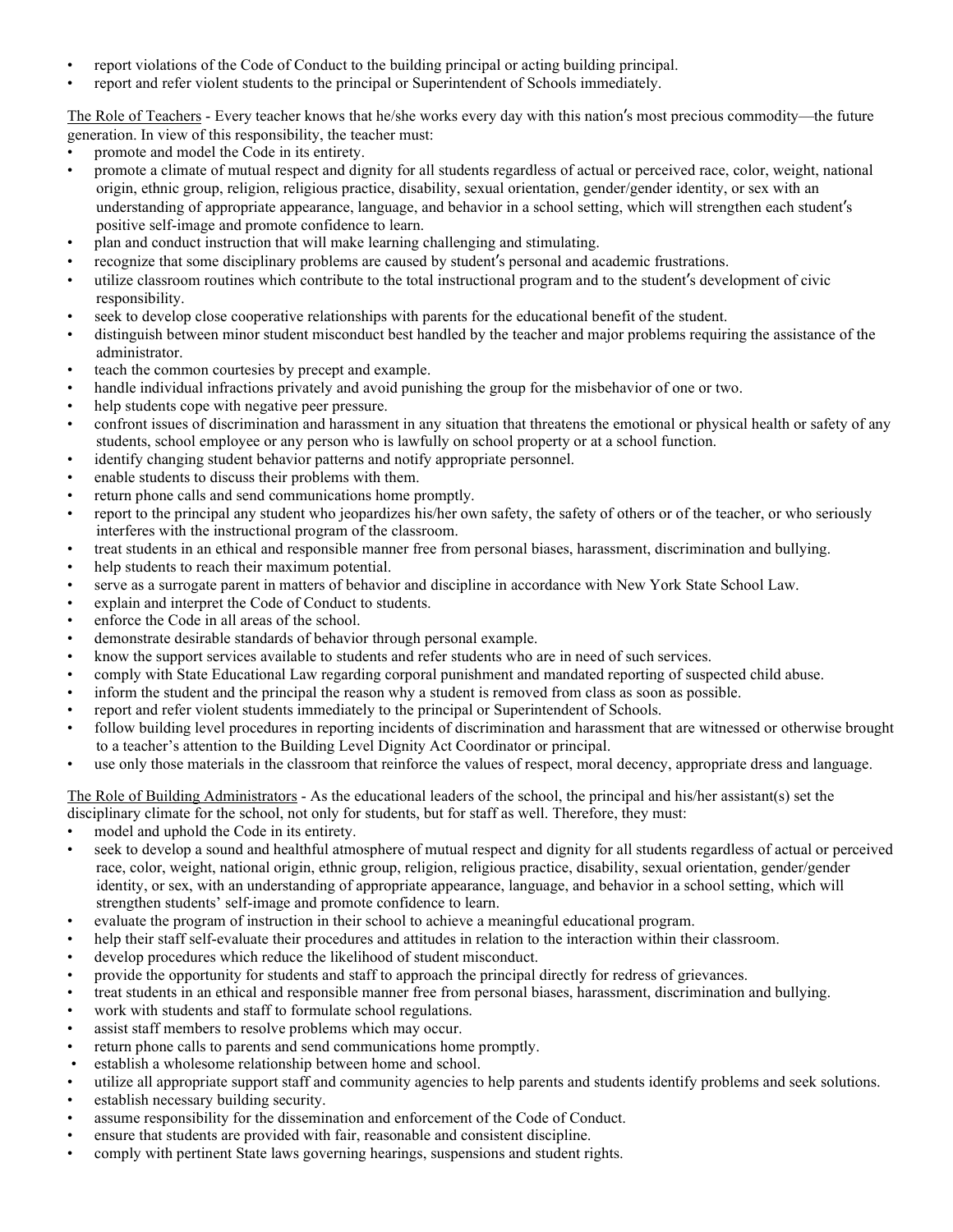- report violations of the Code of Conduct to the building principal or acting building principal.
- report and refer violent students to the principal or Superintendent of Schools immediately.

The Role of Teachers - Every teacher knows that he/she works every day with this nation's most precious commodity—the future generation. In view of this responsibility, the teacher must:

- promote and model the Code in its entirety.
- promote a climate of mutual respect and dignity for all students regardless of actual or perceived race, color, weight, national origin, ethnic group, religion, religious practice, disability, sexual orientation, gender/gender identity, or sex with an understanding of appropriate appearance, language, and behavior in a school setting, which will strengthen each student's positive self-image and promote confidence to learn.
- plan and conduct instruction that will make learning challenging and stimulating.
- recognize that some disciplinary problems are caused by student's personal and academic frustrations.
- utilize classroom routines which contribute to the total instructional program and to the student's development of civic responsibility.
- seek to develop close cooperative relationships with parents for the educational benefit of the student.
- distinguish between minor student misconduct best handled by the teacher and major problems requiring the assistance of the administrator.
- teach the common courtesies by precept and example.
- handle individual infractions privately and avoid punishing the group for the misbehavior of one or two.
- help students cope with negative peer pressure.
- confront issues of discrimination and harassment in any situation that threatens the emotional or physical health or safety of any students, school employee or any person who is lawfully on school property or at a school function.
- identify changing student behavior patterns and notify appropriate personnel.
- enable students to discuss their problems with them.
- return phone calls and send communications home promptly.
- report to the principal any student who jeopardizes his/her own safety, the safety of others or of the teacher, or who seriously interferes with the instructional program of the classroom.
- treat students in an ethical and responsible manner free from personal biases, harassment, discrimination and bullying.
- help students to reach their maximum potential.
- serve as a surrogate parent in matters of behavior and discipline in accordance with New York State School Law.
- explain and interpret the Code of Conduct to students.
- enforce the Code in all areas of the school.
- demonstrate desirable standards of behavior through personal example.
- know the support services available to students and refer students who are in need of such services.
- comply with State Educational Law regarding corporal punishment and mandated reporting of suspected child abuse.
- inform the student and the principal the reason why a student is removed from class as soon as possible.
- report and refer violent students immediately to the principal or Superintendent of Schools.
- follow building level procedures in reporting incidents of discrimination and harassment that are witnessed or otherwise brought to a teacher's attention to the Building Level Dignity Act Coordinator or principal.
- use only those materials in the classroom that reinforce the values of respect, moral decency, appropriate dress and language.

The Role of Building Administrators - As the educational leaders of the school, the principal and his/her assistant(s) set the disciplinary climate for the school, not only for students, but for staff as well. Therefore, they must:

- model and uphold the Code in its entirety.
- seek to develop a sound and healthful atmosphere of mutual respect and dignity for all students regardless of actual or perceived race, color, weight, national origin, ethnic group, religion, religious practice, disability, sexual orientation, gender/gender identity, or sex, with an understanding of appropriate appearance, language, and behavior in a school setting, which will strengthen students' self-image and promote confidence to learn.
- evaluate the program of instruction in their school to achieve a meaningful educational program.
- help their staff self-evaluate their procedures and attitudes in relation to the interaction within their classroom.
- develop procedures which reduce the likelihood of student misconduct.
- provide the opportunity for students and staff to approach the principal directly for redress of grievances.
- treat students in an ethical and responsible manner free from personal biases, harassment, discrimination and bullying.
- work with students and staff to formulate school regulations.
- assist staff members to resolve problems which may occur.
- return phone calls to parents and send communications home promptly.
- establish a wholesome relationship between home and school.
- utilize all appropriate support staff and community agencies to help parents and students identify problems and seek solutions.
- establish necessary building security.
- assume responsibility for the dissemination and enforcement of the Code of Conduct.
- ensure that students are provided with fair, reasonable and consistent discipline.
- comply with pertinent State laws governing hearings, suspensions and student rights.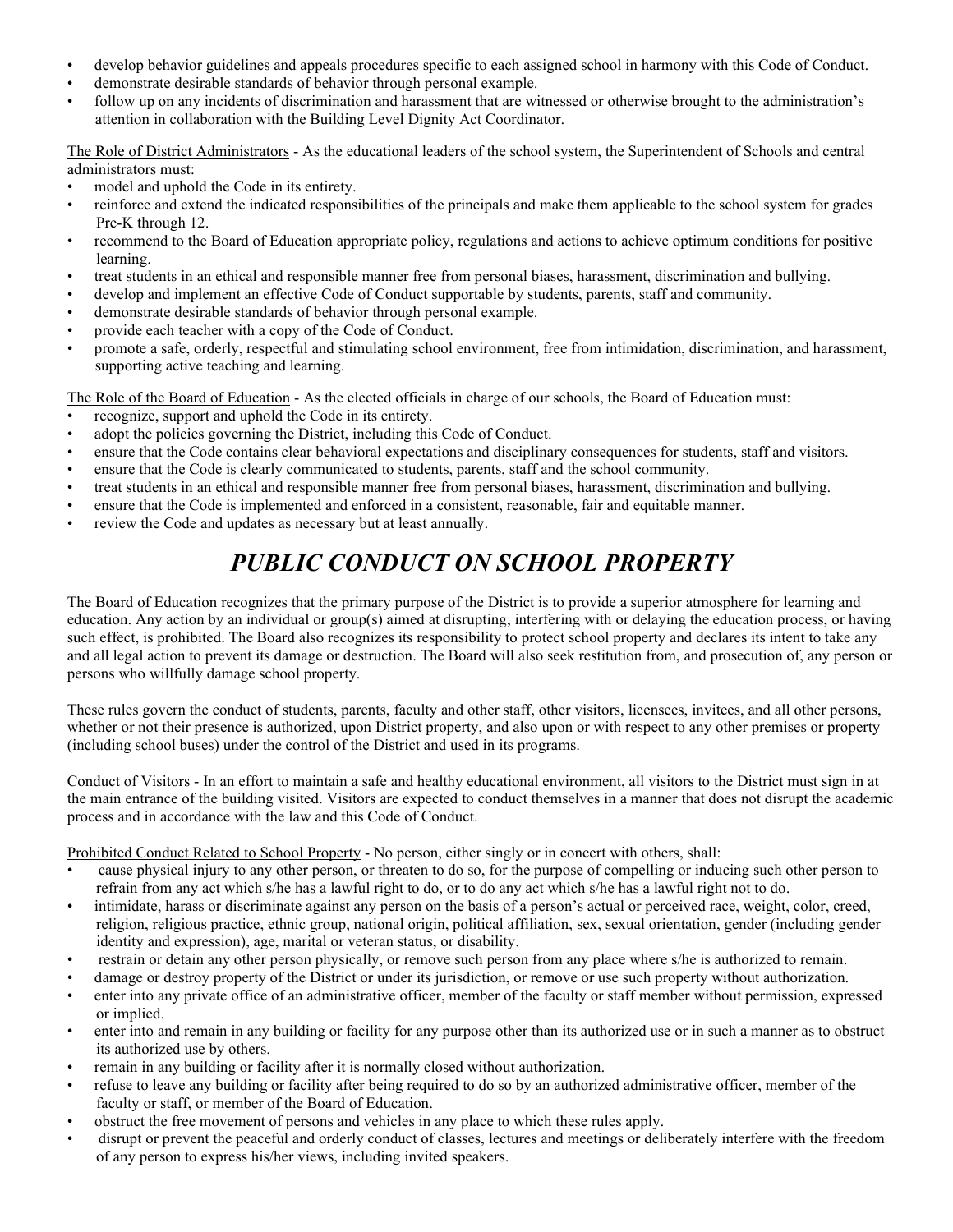- develop behavior guidelines and appeals procedures specific to each assigned school in harmony with this Code of Conduct.
- demonstrate desirable standards of behavior through personal example.
- follow up on any incidents of discrimination and harassment that are witnessed or otherwise brought to the administration's attention in collaboration with the Building Level Dignity Act Coordinator.

The Role of District Administrators - As the educational leaders of the school system, the Superintendent of Schools and central administrators must:

- model and uphold the Code in its entirety.
- reinforce and extend the indicated responsibilities of the principals and make them applicable to the school system for grades Pre-K through 12.
- recommend to the Board of Education appropriate policy, regulations and actions to achieve optimum conditions for positive learning.
- treat students in an ethical and responsible manner free from personal biases, harassment, discrimination and bullying.
- develop and implement an effective Code of Conduct supportable by students, parents, staff and community.
- demonstrate desirable standards of behavior through personal example.
- provide each teacher with a copy of the Code of Conduct.
- promote a safe, orderly, respectful and stimulating school environment, free from intimidation, discrimination, and harassment, supporting active teaching and learning.

The Role of the Board of Education - As the elected officials in charge of our schools, the Board of Education must:

- recognize, support and uphold the Code in its entirety.
- adopt the policies governing the District, including this Code of Conduct.
- ensure that the Code contains clear behavioral expectations and disciplinary consequences for students, staff and visitors.
- ensure that the Code is clearly communicated to students, parents, staff and the school community.
- treat students in an ethical and responsible manner free from personal biases, harassment, discrimination and bullying.
- ensure that the Code is implemented and enforced in a consistent, reasonable, fair and equitable manner.
- review the Code and updates as necessary but at least annually.

# *PUBLIC CONDUCT ON SCHOOL PROPERTY*

The Board of Education recognizes that the primary purpose of the District is to provide a superior atmosphere for learning and education. Any action by an individual or group(s) aimed at disrupting, interfering with or delaying the education process, or having such effect, is prohibited. The Board also recognizes its responsibility to protect school property and declares its intent to take any and all legal action to prevent its damage or destruction. The Board will also seek restitution from, and prosecution of, any person or persons who willfully damage school property.

These rules govern the conduct of students, parents, faculty and other staff, other visitors, licensees, invitees, and all other persons, whether or not their presence is authorized, upon District property, and also upon or with respect to any other premises or property (including school buses) under the control of the District and used in its programs.

Conduct of Visitors - In an effort to maintain a safe and healthy educational environment, all visitors to the District must sign in at the main entrance of the building visited. Visitors are expected to conduct themselves in a manner that does not disrupt the academic process and in accordance with the law and this Code of Conduct.

Prohibited Conduct Related to School Property - No person, either singly or in concert with others, shall:

- cause physical injury to any other person, or threaten to do so, for the purpose of compelling or inducing such other person to refrain from any act which s/he has a lawful right to do, or to do any act which s/he has a lawful right not to do.
- intimidate, harass or discriminate against any person on the basis of a person's actual or perceived race, weight, color, creed, religion, religious practice, ethnic group, national origin, political affiliation, sex, sexual orientation, gender (including gender identity and expression), age, marital or veteran status, or disability.
- restrain or detain any other person physically, or remove such person from any place where s/he is authorized to remain.
- damage or destroy property of the District or under its jurisdiction, or remove or use such property without authorization.
- enter into any private office of an administrative officer, member of the faculty or staff member without permission, expressed or implied.
- enter into and remain in any building or facility for any purpose other than its authorized use or in such a manner as to obstruct its authorized use by others.
- remain in any building or facility after it is normally closed without authorization.
- refuse to leave any building or facility after being required to do so by an authorized administrative officer, member of the faculty or staff, or member of the Board of Education.
- obstruct the free movement of persons and vehicles in any place to which these rules apply.
- disrupt or prevent the peaceful and orderly conduct of classes, lectures and meetings or deliberately interfere with the freedom of any person to express his/her views, including invited speakers.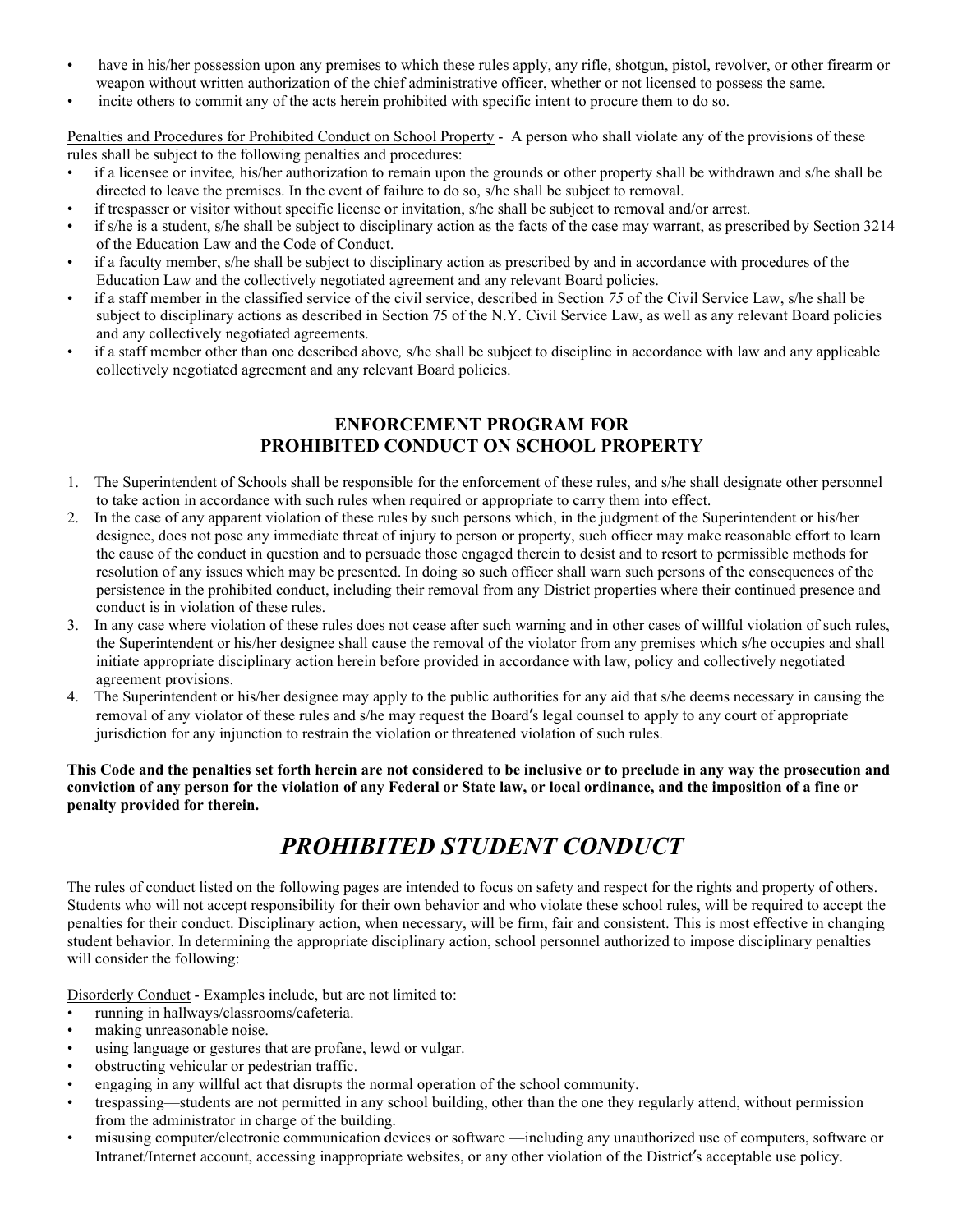- have in his/her possession upon any premises to which these rules apply, any rifle, shotgun, pistol, revolver, or other firearm or weapon without written authorization of the chief administrative officer, whether or not licensed to possess the same.
- incite others to commit any of the acts herein prohibited with specific intent to procure them to do so.

Penalties and Procedures for Prohibited Conduct on School Property - A person who shall violate any of the provisions of these rules shall be subject to the following penalties and procedures:

- if a licensee or invitee*,* his/her authorization to remain upon the grounds or other property shall be withdrawn and s/he shall be directed to leave the premises. In the event of failure to do so, s/he shall be subject to removal.
- if trespasser or visitor without specific license or invitation, s/he shall be subject to removal and/or arrest.
- if s/he is a student, s/he shall be subject to disciplinary action as the facts of the case may warrant, as prescribed by Section 3214 of the Education Law and the Code of Conduct.
- if a faculty member, s/he shall be subject to disciplinary action as prescribed by and in accordance with procedures of the Education Law and the collectively negotiated agreement and any relevant Board policies.
- if a staff member in the classified service of the civil service, described in Section *75* of the Civil Service Law, s/he shall be subject to disciplinary actions as described in Section 75 of the N.Y. Civil Service Law, as well as any relevant Board policies and any collectively negotiated agreements.
- if a staff member other than one described above*,* s/he shall be subject to discipline in accordance with law and any applicable collectively negotiated agreement and any relevant Board policies.

### **ENFORCEMENT PROGRAM FOR PROHIBITED CONDUCT ON SCHOOL PROPERTY**

- 1. The Superintendent of Schools shall be responsible for the enforcement of these rules, and s/he shall designate other personnel to take action in accordance with such rules when required or appropriate to carry them into effect.
- 2. In the case of any apparent violation of these rules by such persons which, in the judgment of the Superintendent or his/her designee, does not pose any immediate threat of injury to person or property, such officer may make reasonable effort to learn the cause of the conduct in question and to persuade those engaged therein to desist and to resort to permissible methods for resolution of any issues which may be presented. In doing so such officer shall warn such persons of the consequences of the persistence in the prohibited conduct, including their removal from any District properties where their continued presence and conduct is in violation of these rules.
- 3. In any case where violation of these rules does not cease after such warning and in other cases of willful violation of such rules, the Superintendent or his/her designee shall cause the removal of the violator from any premises which s/he occupies and shall initiate appropriate disciplinary action herein before provided in accordance with law, policy and collectively negotiated agreement provisions.
- 4. The Superintendent or his/her designee may apply to the public authorities for any aid that s/he deems necessary in causing the removal of any violator of these rules and s/he may request the Board's legal counsel to apply to any court of appropriate jurisdiction for any injunction to restrain the violation or threatened violation of such rules.

**This Code and the penalties set forth herein are not considered to be inclusive or to preclude in any way the prosecution and conviction of any person for the violation of any Federal or State law, or local ordinance, and the imposition of a fine or penalty provided for therein.**

# *PROHIBITED STUDENT CONDUCT*

The rules of conduct listed on the following pages are intended to focus on safety and respect for the rights and property of others. Students who will not accept responsibility for their own behavior and who violate these school rules, will be required to accept the penalties for their conduct. Disciplinary action, when necessary, will be firm, fair and consistent. This is most effective in changing student behavior. In determining the appropriate disciplinary action, school personnel authorized to impose disciplinary penalties will consider the following:

Disorderly Conduct - Examples include, but are not limited to:

- running in hallways/classrooms/cafeteria.
- making unreasonable noise.
- using language or gestures that are profane, lewd or vulgar.
- obstructing vehicular or pedestrian traffic.
- engaging in any willful act that disrupts the normal operation of the school community.
- trespassing—students are not permitted in any school building, other than the one they regularly attend, without permission from the administrator in charge of the building.
- misusing computer/electronic communication devices or software —including any unauthorized use of computers, software or Intranet/Internet account, accessing inappropriate websites, or any other violation of the District's acceptable use policy.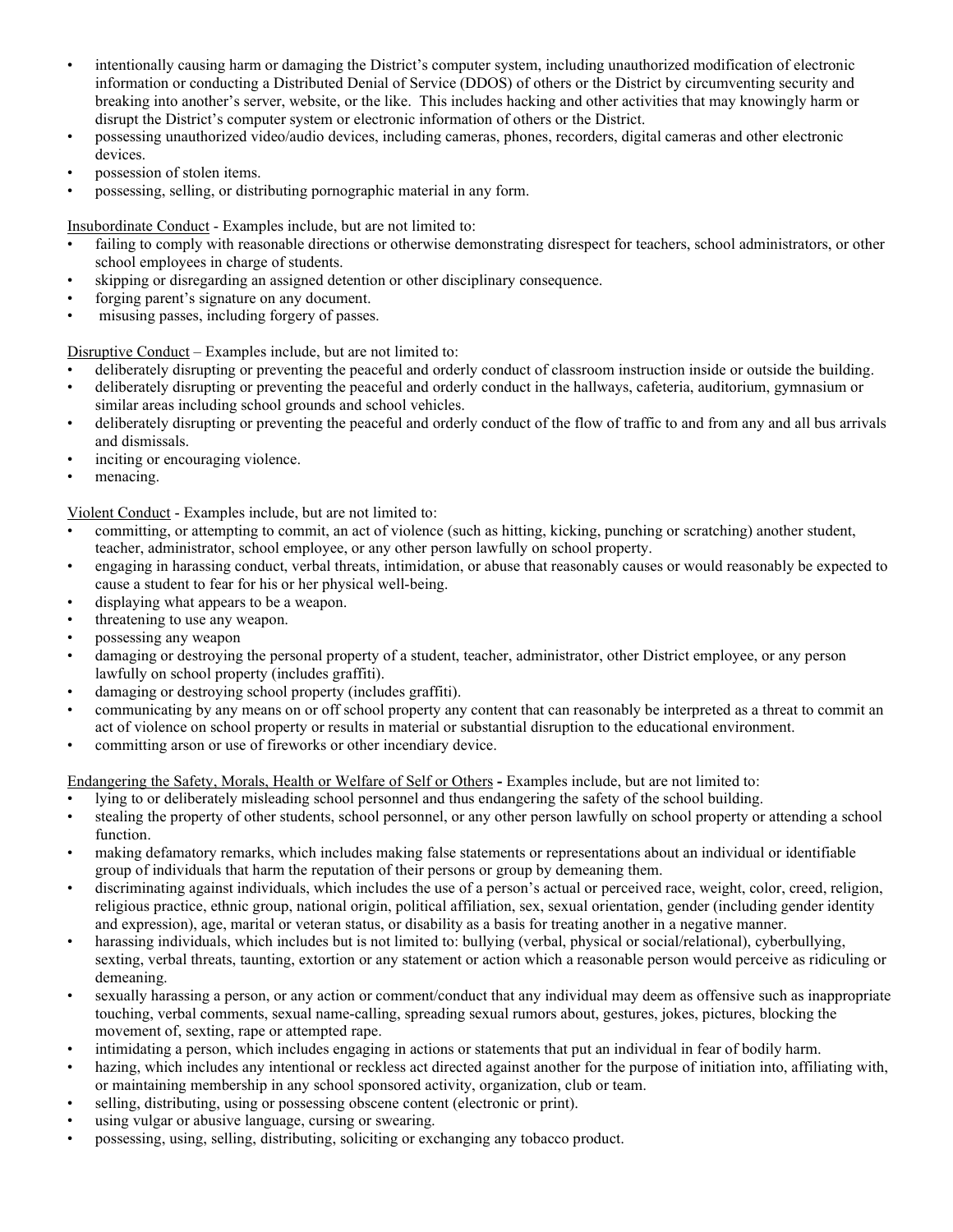- intentionally causing harm or damaging the District's computer system, including unauthorized modification of electronic information or conducting a Distributed Denial of Service (DDOS) of others or the District by circumventing security and breaking into another's server, website, or the like. This includes hacking and other activities that may knowingly harm or disrupt the District's computer system or electronic information of others or the District.
- possessing unauthorized video/audio devices, including cameras, phones, recorders, digital cameras and other electronic devices.
- possession of stolen items.
- possessing, selling, or distributing pornographic material in any form.

Insubordinate Conduct - Examples include, but are not limited to:

- failing to comply with reasonable directions or otherwise demonstrating disrespect for teachers, school administrators, or other school employees in charge of students.
- skipping or disregarding an assigned detention or other disciplinary consequence.
- forging parent's signature on any document.
- misusing passes, including forgery of passes.

Disruptive Conduct – Examples include, but are not limited to:

- deliberately disrupting or preventing the peaceful and orderly conduct of classroom instruction inside or outside the building.
- deliberately disrupting or preventing the peaceful and orderly conduct in the hallways, cafeteria, auditorium, gymnasium or similar areas including school grounds and school vehicles.
- deliberately disrupting or preventing the peaceful and orderly conduct of the flow of traffic to and from any and all bus arrivals and dismissals.
- inciting or encouraging violence.
- menacing.

Violent Conduct - Examples include, but are not limited to:

- committing, or attempting to commit, an act of violence (such as hitting, kicking, punching or scratching) another student, teacher, administrator, school employee, or any other person lawfully on school property.
- engaging in harassing conduct, verbal threats, intimidation, or abuse that reasonably causes or would reasonably be expected to cause a student to fear for his or her physical well-being.
- displaying what appears to be a weapon.
- threatening to use any weapon.
- possessing any weapon
- damaging or destroying the personal property of a student, teacher, administrator, other District employee, or any person lawfully on school property (includes graffiti).
- damaging or destroying school property (includes graffiti).
- communicating by any means on or off school property any content that can reasonably be interpreted as a threat to commit an act of violence on school property or results in material or substantial disruption to the educational environment.
- committing arson or use of fireworks or other incendiary device.

Endangering the Safety, Morals, Health or Welfare of Self or Others **-** Examples include, but are not limited to:

- lying to or deliberately misleading school personnel and thus endangering the safety of the school building.
- stealing the property of other students, school personnel, or any other person lawfully on school property or attending a school function.
- making defamatory remarks, which includes making false statements or representations about an individual or identifiable group of individuals that harm the reputation of their persons or group by demeaning them.
- discriminating against individuals, which includes the use of a person's actual or perceived race, weight, color, creed, religion, religious practice, ethnic group, national origin, political affiliation, sex, sexual orientation, gender (including gender identity and expression), age, marital or veteran status, or disability as a basis for treating another in a negative manner.
- harassing individuals, which includes but is not limited to: bullying (verbal, physical or social/relational), cyberbullying, sexting, verbal threats, taunting, extortion or any statement or action which a reasonable person would perceive as ridiculing or demeaning.
- sexually harassing a person, or any action or comment/conduct that any individual may deem as offensive such as inappropriate touching, verbal comments, sexual name-calling, spreading sexual rumors about, gestures, jokes, pictures, blocking the movement of, sexting, rape or attempted rape.
- intimidating a person, which includes engaging in actions or statements that put an individual in fear of bodily harm.
- hazing, which includes any intentional or reckless act directed against another for the purpose of initiation into, affiliating with, or maintaining membership in any school sponsored activity, organization, club or team.
- selling, distributing, using or possessing obscene content (electronic or print).
- using vulgar or abusive language, cursing or swearing.
- possessing, using, selling, distributing, soliciting or exchanging any tobacco product.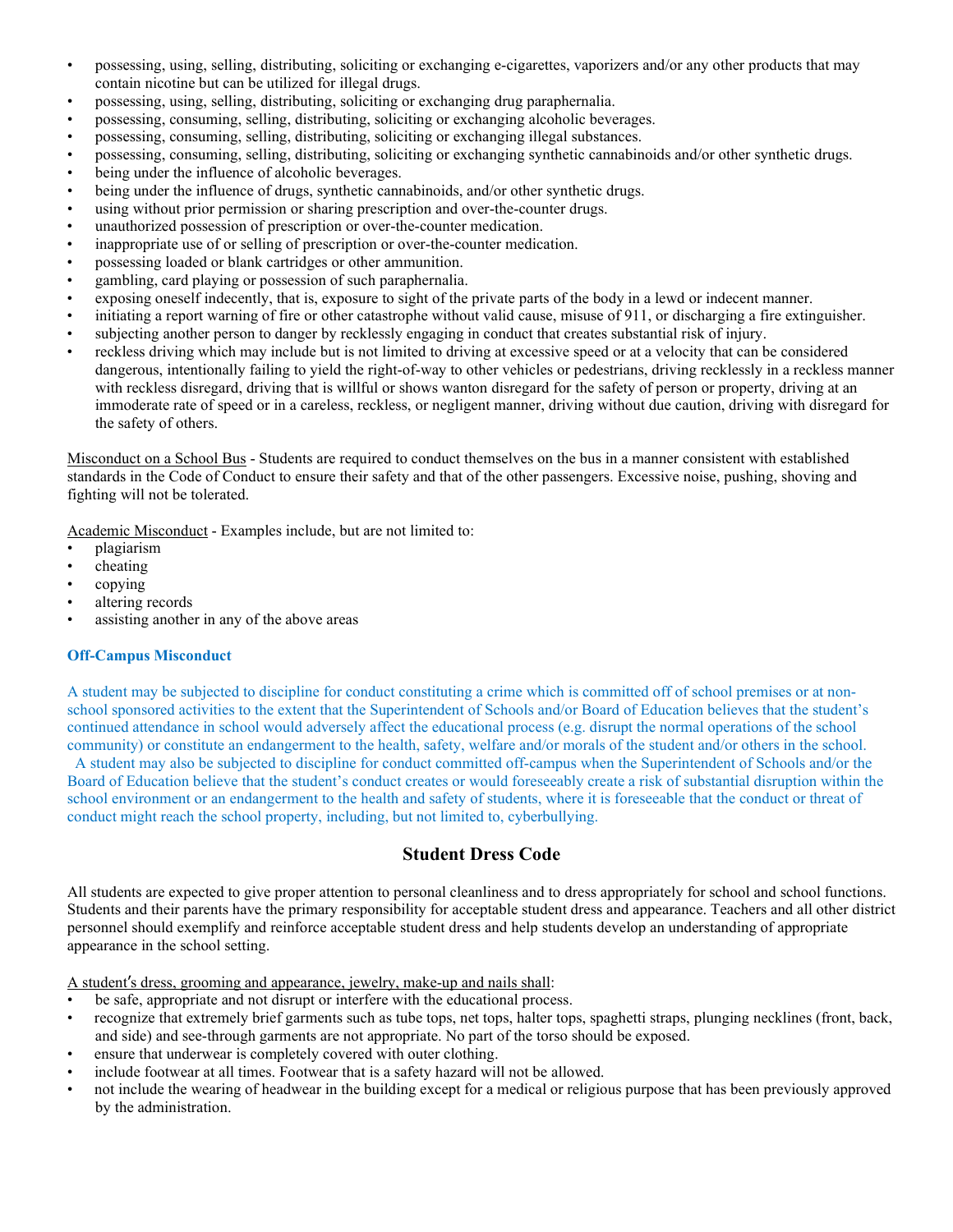- possessing, using, selling, distributing, soliciting or exchanging e-cigarettes, vaporizers and/or any other products that may contain nicotine but can be utilized for illegal drugs.
- possessing, using, selling, distributing, soliciting or exchanging drug paraphernalia.
- possessing, consuming, selling, distributing, soliciting or exchanging alcoholic beverages.
- possessing, consuming, selling, distributing, soliciting or exchanging illegal substances.
- possessing, consuming, selling, distributing, soliciting or exchanging synthetic cannabinoids and/or other synthetic drugs.
- being under the influence of alcoholic beverages.
- being under the influence of drugs, synthetic cannabinoids, and/or other synthetic drugs.
- using without prior permission or sharing prescription and over-the-counter drugs.
- unauthorized possession of prescription or over-the-counter medication.
- inappropriate use of or selling of prescription or over-the-counter medication.
- possessing loaded or blank cartridges or other ammunition.
- gambling, card playing or possession of such paraphernalia.
- exposing oneself indecently, that is, exposure to sight of the private parts of the body in a lewd or indecent manner.
- initiating a report warning of fire or other catastrophe without valid cause, misuse of 911, or discharging a fire extinguisher.
- subjecting another person to danger by recklessly engaging in conduct that creates substantial risk of injury.
- reckless driving which may include but is not limited to driving at excessive speed or at a velocity that can be considered dangerous, intentionally failing to yield the right-of-way to other vehicles or pedestrians, driving recklessly in a reckless manner with reckless disregard, driving that is willful or shows wanton disregard for the safety of person or property, driving at an immoderate rate of speed or in a careless, reckless, or negligent manner, driving without due caution, driving with disregard for the safety of others.

Misconduct on a School Bus - Students are required to conduct themselves on the bus in a manner consistent with established standards in the Code of Conduct to ensure their safety and that of the other passengers. Excessive noise, pushing, shoving and fighting will not be tolerated.

Academic Misconduct - Examples include, but are not limited to:

- plagiarism
- cheating
- copying
- altering records
- assisting another in any of the above areas

### **Off-Campus Misconduct**

A student may be subjected to discipline for conduct constituting a crime which is committed off of school premises or at nonschool sponsored activities to the extent that the Superintendent of Schools and/or Board of Education believes that the student's continued attendance in school would adversely affect the educational process (e.g. disrupt the normal operations of the school community) or constitute an endangerment to the health, safety, welfare and/or morals of the student and/or others in the school.

 A student may also be subjected to discipline for conduct committed off-campus when the Superintendent of Schools and/or the Board of Education believe that the student's conduct creates or would foreseeably create a risk of substantial disruption within the school environment or an endangerment to the health and safety of students, where it is foreseeable that the conduct or threat of conduct might reach the school property, including, but not limited to, cyberbullying.

### **Student Dress Code**

All students are expected to give proper attention to personal cleanliness and to dress appropriately for school and school functions. Students and their parents have the primary responsibility for acceptable student dress and appearance. Teachers and all other district personnel should exemplify and reinforce acceptable student dress and help students develop an understanding of appropriate appearance in the school setting.

A student's dress, grooming and appearance, jewelry, make-up and nails shall:

- be safe, appropriate and not disrupt or interfere with the educational process.
- recognize that extremely brief garments such as tube tops, net tops, halter tops, spaghetti straps, plunging necklines (front, back, and side) and see-through garments are not appropriate. No part of the torso should be exposed.
- ensure that underwear is completely covered with outer clothing.
- include footwear at all times. Footwear that is a safety hazard will not be allowed.
- not include the wearing of headwear in the building except for a medical or religious purpose that has been previously approved by the administration.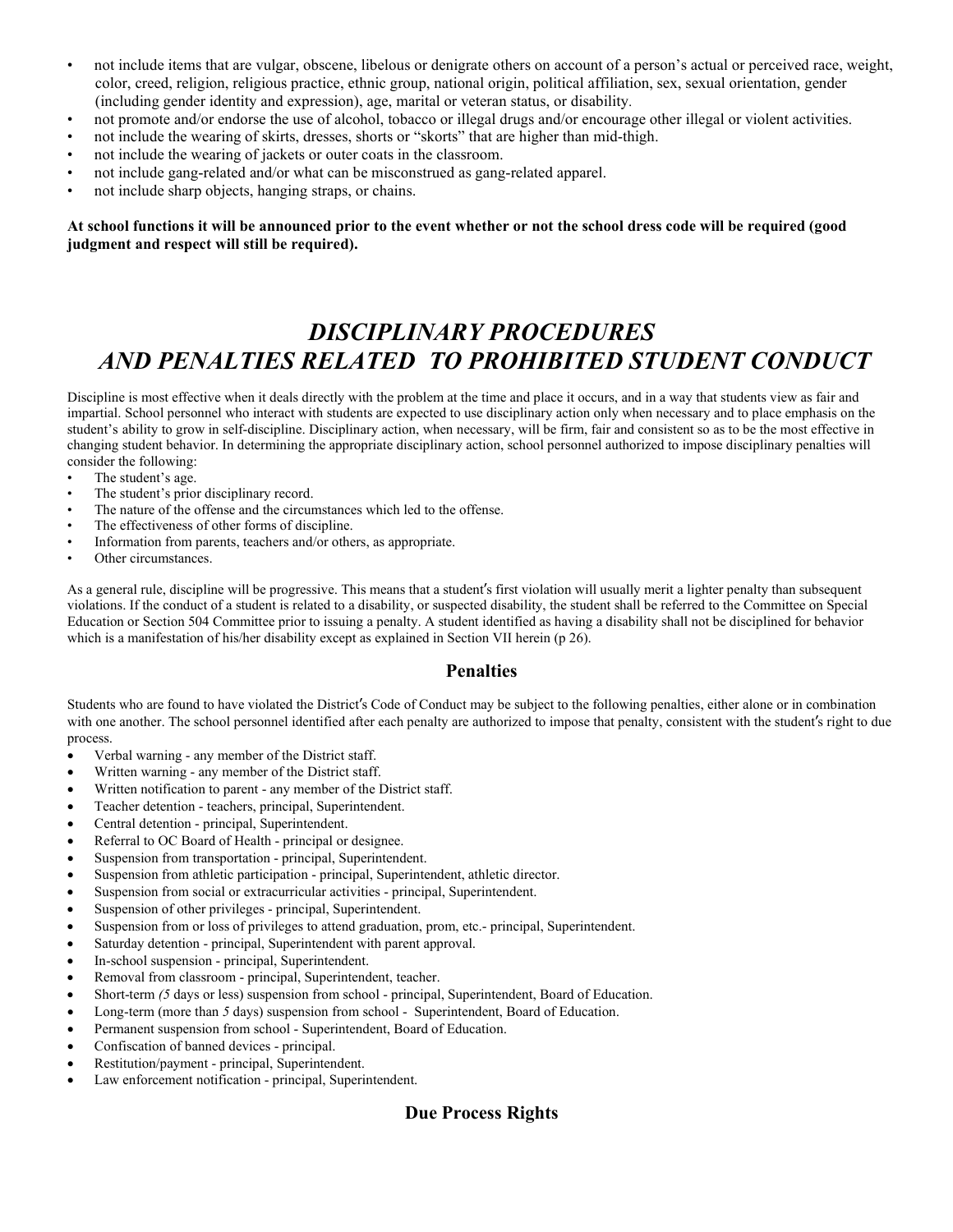- not include items that are vulgar, obscene, libelous or denigrate others on account of a person's actual or perceived race, weight, color, creed, religion, religious practice, ethnic group, national origin, political affiliation, sex, sexual orientation, gender (including gender identity and expression), age, marital or veteran status, or disability.
- not promote and/or endorse the use of alcohol, tobacco or illegal drugs and/or encourage other illegal or violent activities.
- not include the wearing of skirts, dresses, shorts or "skorts" that are higher than mid-thigh.
- not include the wearing of jackets or outer coats in the classroom.
- not include gang-related and/or what can be misconstrued as gang-related apparel.
- not include sharp objects, hanging straps, or chains.

#### **At school functions it will be announced prior to the event whether or not the school dress code will be required (good judgment and respect will still be required).**

### *DISCIPLINARY PROCEDURES AND PENALTIES RELATED TO PROHIBITED STUDENT CONDUCT*

Discipline is most effective when it deals directly with the problem at the time and place it occurs, and in a way that students view as fair and impartial. School personnel who interact with students are expected to use disciplinary action only when necessary and to place emphasis on the student's ability to grow in self-discipline. Disciplinary action, when necessary, will be firm, fair and consistent so as to be the most effective in changing student behavior. In determining the appropriate disciplinary action, school personnel authorized to impose disciplinary penalties will consider the following:

- The student's age.
- The student's prior disciplinary record.
- The nature of the offense and the circumstances which led to the offense.
- The effectiveness of other forms of discipline.
- Information from parents, teachers and/or others, as appropriate.
- Other circumstances.

As a general rule, discipline will be progressive. This means that a student's first violation will usually merit a lighter penalty than subsequent violations. If the conduct of a student is related to a disability, or suspected disability, the student shall be referred to the Committee on Special Education or Section 504 Committee prior to issuing a penalty. A student identified as having a disability shall not be disciplined for behavior which is a manifestation of his/her disability except as explained in Section VII herein (p 26).

### **Penalties**

Students who are found to have violated the District's Code of Conduct may be subject to the following penalties, either alone or in combination with one another. The school personnel identified after each penalty are authorized to impose that penalty, consistent with the student's right to due process.

- Verbal warning any member of the District staff.
- Written warning any member of the District staff.
- Written notification to parent any member of the District staff.
- Teacher detention teachers, principal, Superintendent.
- Central detention principal, Superintendent.
- Referral to OC Board of Health principal or designee.
- Suspension from transportation principal, Superintendent.
- Suspension from athletic participation principal, Superintendent, athletic director.
- Suspension from social or extracurricular activities principal, Superintendent.
- Suspension of other privileges principal, Superintendent.
- Suspension from or loss of privileges to attend graduation, prom, etc.- principal, Superintendent.
- Saturday detention principal, Superintendent with parent approval.
- In-school suspension principal, Superintendent.
- Removal from classroom principal, Superintendent, teacher.
- Short-term (5 days or less) suspension from school principal, Superintendent, Board of Education.
- Long-term (more than *5* days) suspension from school Superintendent, Board of Education.
- Permanent suspension from school Superintendent, Board of Education.
- Confiscation of banned devices principal.
- Restitution/payment principal, Superintendent.
- Law enforcement notification principal, Superintendent.

### **Due Process Rights**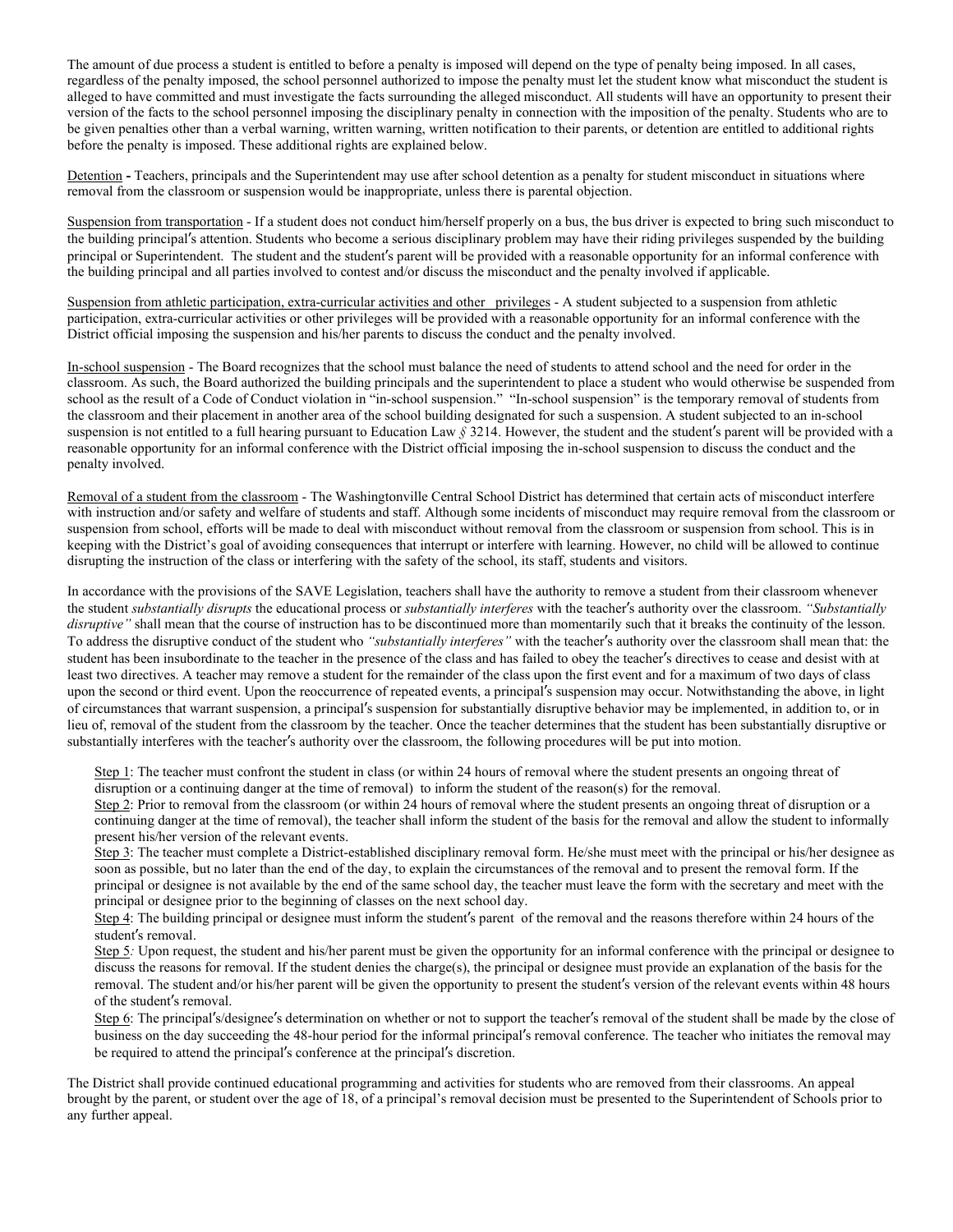The amount of due process a student is entitled to before a penalty is imposed will depend on the type of penalty being imposed. In all cases, regardless of the penalty imposed, the school personnel authorized to impose the penalty must let the student know what misconduct the student is alleged to have committed and must investigate the facts surrounding the alleged misconduct. All students will have an opportunity to present their version of the facts to the school personnel imposing the disciplinary penalty in connection with the imposition of the penalty. Students who are to be given penalties other than a verbal warning, written warning, written notification to their parents, or detention are entitled to additional rights before the penalty is imposed. These additional rights are explained below.

Detention - Teachers, principals and the Superintendent may use after school detention as a penalty for student misconduct in situations where removal from the classroom or suspension would be inappropriate, unless there is parental objection.

Suspension from transportation - If a student does not conduct him/herself properly on a bus, the bus driver is expected to bring such misconduct to the building principal's attention. Students who become a serious disciplinary problem may have their riding privileges suspended by the building principal or Superintendent. The student and the student's parent will be provided with a reasonable opportunity for an informal conference with the building principal and all parties involved to contest and/or discuss the misconduct and the penalty involved if applicable.

Suspension from athletic participation, extra-curricular activities and other privileges - A student subjected to a suspension from athletic participation, extra-curricular activities or other privileges will be provided with a reasonable opportunity for an informal conference with the District official imposing the suspension and his/her parents to discuss the conduct and the penalty involved.

In-school suspension - The Board recognizes that the school must balance the need of students to attend school and the need for order in the classroom. As such, the Board authorized the building principals and the superintendent to place a student who would otherwise be suspended from school as the result of a Code of Conduct violation in "in-school suspension." "In-school suspension" is the temporary removal of students from the classroom and their placement in another area of the school building designated for such a suspension. A student subjected to an in-school suspension is not entitled to a full hearing pursuant to Education Law *§* 3214. However, the student and the student's parent will be provided with a reasonable opportunity for an informal conference with the District official imposing the in-school suspension to discuss the conduct and the penalty involved.

Removal of a student from the classroom - The Washingtonville Central School District has determined that certain acts of misconduct interfere with instruction and/or safety and welfare of students and staff. Although some incidents of misconduct may require removal from the classroom or suspension from school, efforts will be made to deal with misconduct without removal from the classroom or suspension from school. This is in keeping with the District's goal of avoiding consequences that interrupt or interfere with learning. However, no child will be allowed to continue disrupting the instruction of the class or interfering with the safety of the school, its staff, students and visitors.

In accordance with the provisions of the SAVE Legislation, teachers shall have the authority to remove a student from their classroom whenever the student *substantially disrupts* the educational process or *substantially interferes* with the teacher's authority over the classroom. *"Substantially disruptive"* shall mean that the course of instruction has to be discontinued more than momentarily such that it breaks the continuity of the lesson. To address the disruptive conduct of the student who *"substantially interferes"* with the teacher's authority over the classroom shall mean that: the student has been insubordinate to the teacher in the presence of the class and has failed to obey the teacher's directives to cease and desist with at least two directives. A teacher may remove a student for the remainder of the class upon the first event and for a maximum of two days of class upon the second or third event. Upon the reoccurrence of repeated events, a principal's suspension may occur. Notwithstanding the above, in light of circumstances that warrant suspension, a principal's suspension for substantially disruptive behavior may be implemented, in addition to, or in lieu of, removal of the student from the classroom by the teacher. Once the teacher determines that the student has been substantially disruptive or substantially interferes with the teacher's authority over the classroom, the following procedures will be put into motion.

Step 1: The teacher must confront the student in class (or within 24 hours of removal where the student presents an ongoing threat of disruption or a continuing danger at the time of removal) to inform the student of the reason(s) for the removal.

Step 2: Prior to removal from the classroom (or within 24 hours of removal where the student presents an ongoing threat of disruption or a continuing danger at the time of removal), the teacher shall inform the student of the basis for the removal and allow the student to informally present his/her version of the relevant events.

Step 3: The teacher must complete a District-established disciplinary removal form. He/she must meet with the principal or his/her designee as soon as possible, but no later than the end of the day, to explain the circumstances of the removal and to present the removal form. If the principal or designee is not available by the end of the same school day, the teacher must leave the form with the secretary and meet with the principal or designee prior to the beginning of classes on the next school day.

Step 4: The building principal or designee must inform the student's parent of the removal and the reasons therefore within 24 hours of the student's removal.

Step 5. Upon request, the student and his/her parent must be given the opportunity for an informal conference with the principal or designee to discuss the reasons for removal. If the student denies the charge(s), the principal or designee must provide an explanation of the basis for the removal. The student and/or his/her parent will be given the opportunity to present the student's version of the relevant events within 48 hours of the student's removal.

Step 6: The principal's/designee's determination on whether or not to support the teacher's removal of the student shall be made by the close of business on the day succeeding the 48-hour period for the informal principal's removal conference. The teacher who initiates the removal may be required to attend the principal's conference at the principal's discretion.

The District shall provide continued educational programming and activities for students who are removed from their classrooms. An appeal brought by the parent, or student over the age of 18, of a principal's removal decision must be presented to the Superintendent of Schools prior to any further appeal.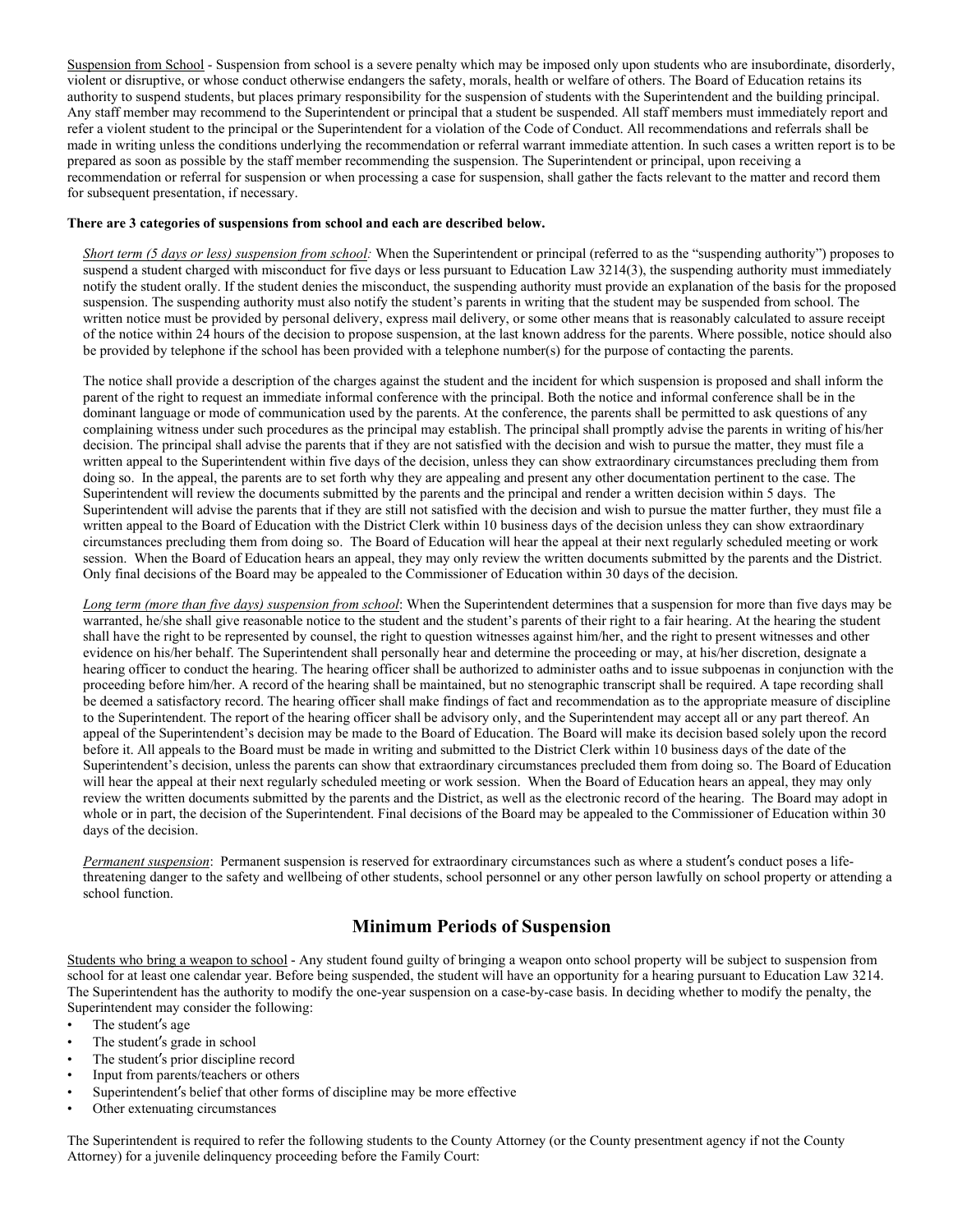Suspension from School - Suspension from school is a severe penalty which may be imposed only upon students who are insubordinate, disorderly, violent or disruptive, or whose conduct otherwise endangers the safety, morals, health or welfare of others. The Board of Education retains its authority to suspend students, but places primary responsibility for the suspension of students with the Superintendent and the building principal. Any staff member may recommend to the Superintendent or principal that a student be suspended. All staff members must immediately report and refer a violent student to the principal or the Superintendent for a violation of the Code of Conduct. All recommendations and referrals shall be made in writing unless the conditions underlying the recommendation or referral warrant immediate attention. In such cases a written report is to be prepared as soon as possible by the staff member recommending the suspension. The Superintendent or principal, upon receiving a recommendation or referral for suspension or when processing a case for suspension, shall gather the facts relevant to the matter and record them for subsequent presentation, if necessary.

#### **There are 3 categories of suspensions from school and each are described below.**

*Short term (5 days or less) suspension from school:* When the Superintendent or principal (referred to as the "suspending authority") proposes to suspend a student charged with misconduct for five days or less pursuant to Education Law 3214(3), the suspending authority must immediately notify the student orally. If the student denies the misconduct, the suspending authority must provide an explanation of the basis for the proposed suspension. The suspending authority must also notify the student's parents in writing that the student may be suspended from school. The written notice must be provided by personal delivery, express mail delivery, or some other means that is reasonably calculated to assure receipt of the notice within 24 hours of the decision to propose suspension, at the last known address for the parents. Where possible, notice should also be provided by telephone if the school has been provided with a telephone number(s) for the purpose of contacting the parents.

The notice shall provide a description of the charges against the student and the incident for which suspension is proposed and shall inform the parent of the right to request an immediate informal conference with the principal. Both the notice and informal conference shall be in the dominant language or mode of communication used by the parents. At the conference, the parents shall be permitted to ask questions of any complaining witness under such procedures as the principal may establish. The principal shall promptly advise the parents in writing of his/her decision. The principal shall advise the parents that if they are not satisfied with the decision and wish to pursue the matter, they must file a written appeal to the Superintendent within five days of the decision, unless they can show extraordinary circumstances precluding them from doing so. In the appeal, the parents are to set forth why they are appealing and present any other documentation pertinent to the case. The Superintendent will review the documents submitted by the parents and the principal and render a written decision within 5 days. The Superintendent will advise the parents that if they are still not satisfied with the decision and wish to pursue the matter further, they must file a written appeal to the Board of Education with the District Clerk within 10 business days of the decision unless they can show extraordinary circumstances precluding them from doing so. The Board of Education will hear the appeal at their next regularly scheduled meeting or work session. When the Board of Education hears an appeal, they may only review the written documents submitted by the parents and the District. Only final decisions of the Board may be appealed to the Commissioner of Education within 30 days of the decision.

*Long term (more than five days) suspension from school*: When the Superintendent determines that a suspension for more than five days may be warranted, he/she shall give reasonable notice to the student and the student's parents of their right to a fair hearing. At the hearing the student shall have the right to be represented by counsel, the right to question witnesses against him/her, and the right to present witnesses and other evidence on his/her behalf. The Superintendent shall personally hear and determine the proceeding or may, at his/her discretion, designate a hearing officer to conduct the hearing. The hearing officer shall be authorized to administer oaths and to issue subpoenas in conjunction with the proceeding before him/her. A record of the hearing shall be maintained, but no stenographic transcript shall be required. A tape recording shall be deemed a satisfactory record. The hearing officer shall make findings of fact and recommendation as to the appropriate measure of discipline to the Superintendent. The report of the hearing officer shall be advisory only, and the Superintendent may accept all or any part thereof. An appeal of the Superintendent's decision may be made to the Board of Education. The Board will make its decision based solely upon the record before it. All appeals to the Board must be made in writing and submitted to the District Clerk within 10 business days of the date of the Superintendent's decision, unless the parents can show that extraordinary circumstances precluded them from doing so. The Board of Education will hear the appeal at their next regularly scheduled meeting or work session. When the Board of Education hears an appeal, they may only review the written documents submitted by the parents and the District, as well as the electronic record of the hearing. The Board may adopt in whole or in part, the decision of the Superintendent. Final decisions of the Board may be appealed to the Commissioner of Education within 30 days of the decision.

*Permanent suspension*: Permanent suspension is reserved for extraordinary circumstances such as where a student's conduct poses a lifethreatening danger to the safety and wellbeing of other students, school personnel or any other person lawfully on school property or attending a school function.

### **Minimum Periods of Suspension**

Students who bring a weapon to school - Any student found guilty of bringing a weapon onto school property will be subject to suspension from school for at least one calendar year. Before being suspended, the student will have an opportunity for a hearing pursuant to Education Law 3214. The Superintendent has the authority to modify the one-year suspension on a case-by-case basis. In deciding whether to modify the penalty, the Superintendent may consider the following:

- The student's age
- The student's grade in school
- The student's prior discipline record
- Input from parents/teachers or others
- Superintendent's belief that other forms of discipline may be more effective
- Other extenuating circumstances

The Superintendent is required to refer the following students to the County Attorney (or the County presentment agency if not the County Attorney) for a juvenile delinquency proceeding before the Family Court: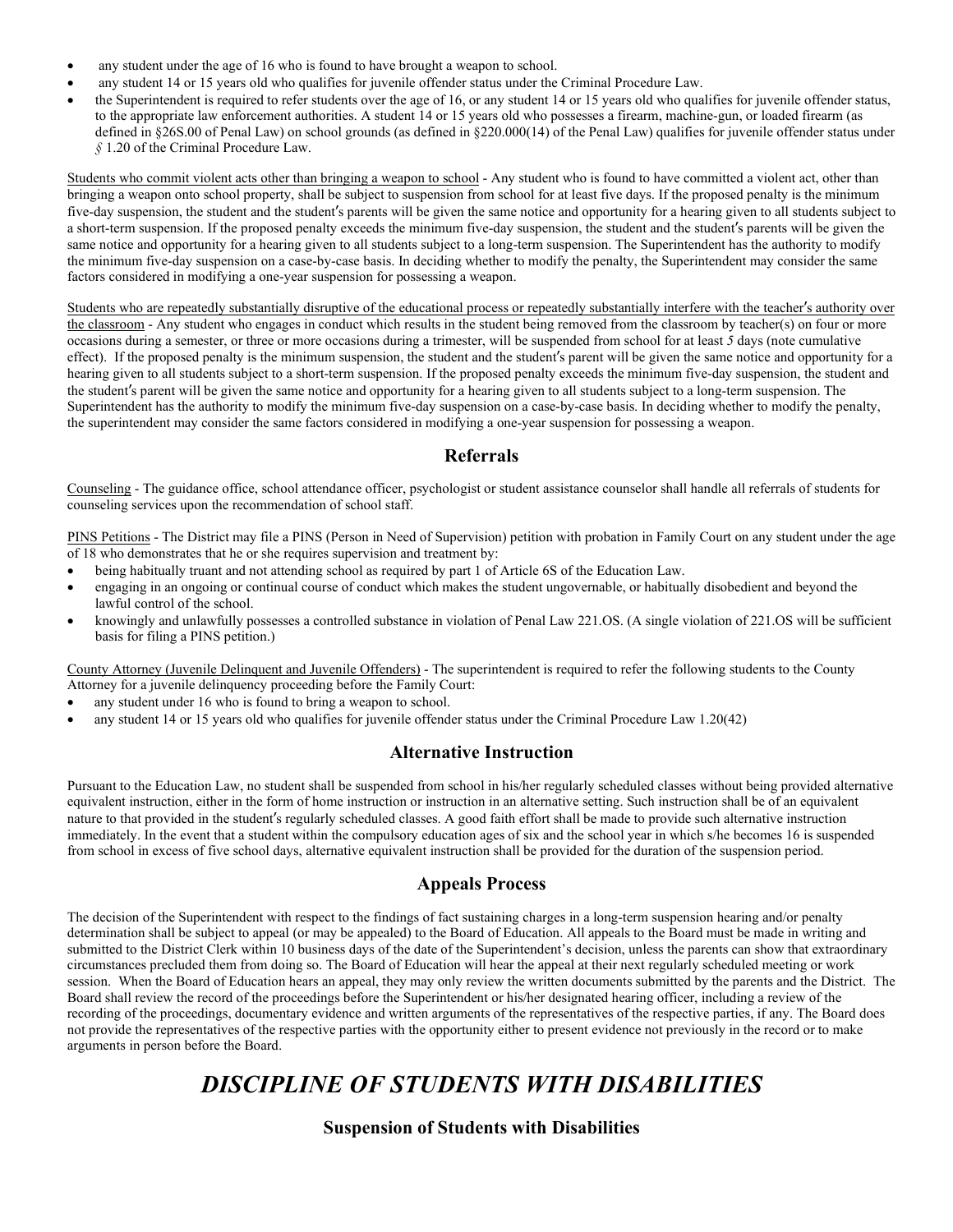- any student under the age of 16 who is found to have brought a weapon to school.
- any student 14 or 15 years old who qualifies for juvenile offender status under the Criminal Procedure Law.
- the Superintendent is required to refer students over the age of 16, or any student 14 or 15 years old who qualifies for juvenile offender status, to the appropriate law enforcement authorities. A student 14 or 15 years old who possesses a firearm, machine-gun, or loaded firearm (as defined in §26S.00 of Penal Law) on school grounds (as defined in §220.000(14) of the Penal Law) qualifies for juvenile offender status under *§* 1.20 of the Criminal Procedure Law.

Students who commit violent acts other than bringing a weapon to school - Any student who is found to have committed a violent act, other than bringing a weapon onto school property, shall be subject to suspension from school for at least five days. If the proposed penalty is the minimum five-day suspension, the student and the student's parents will be given the same notice and opportunity for a hearing given to all students subject to a short-term suspension. If the proposed penalty exceeds the minimum five-day suspension, the student and the student's parents will be given the same notice and opportunity for a hearing given to all students subject to a long-term suspension. The Superintendent has the authority to modify the minimum five-day suspension on a case-by-case basis. In deciding whether to modify the penalty, the Superintendent may consider the same factors considered in modifying a one-year suspension for possessing a weapon.

Students who are repeatedly substantially disruptive of the educational process or repeatedly substantially interfere with the teacher's authority over the classroom - Any student who engages in conduct which results in the student being removed from the classroom by teacher(s) on four or more occasions during a semester, or three or more occasions during a trimester, will be suspended from school for at least *5* days (note cumulative effect). If the proposed penalty is the minimum suspension, the student and the student's parent will be given the same notice and opportunity for a hearing given to all students subject to a short-term suspension. If the proposed penalty exceeds the minimum five-day suspension, the student and the student's parent will be given the same notice and opportunity for a hearing given to all students subject to a long-term suspension. The Superintendent has the authority to modify the minimum five-day suspension on a case-by-case basis. In deciding whether to modify the penalty, the superintendent may consider the same factors considered in modifying a one-year suspension for possessing a weapon.

### **Referrals**

Counseling - The guidance office, school attendance officer, psychologist or student assistance counselor shall handle all referrals of students for counseling services upon the recommendation of school staff.

PINS Petitions - The District may file a PINS (Person in Need of Supervision) petition with probation in Family Court on any student under the age of 18 who demonstrates that he or she requires supervision and treatment by:

- being habitually truant and not attending school as required by part 1 of Article 6S of the Education Law.
- engaging in an ongoing or continual course of conduct which makes the student ungovernable, or habitually disobedient and beyond the lawful control of the school.
- knowingly and unlawfully possesses a controlled substance in violation of Penal Law 221.OS. (A single violation of 221.OS will be sufficient basis for filing a PINS petition.)

County Attorney (Juvenile Delinquent and Juvenile Offenders) - The superintendent is required to refer the following students to the County Attorney for a juvenile delinquency proceeding before the Family Court:

- any student under 16 who is found to bring a weapon to school.
- any student 14 or 15 years old who qualifies for juvenile offender status under the Criminal Procedure Law 1.20(42)

### **Alternative Instruction**

Pursuant to the Education Law, no student shall be suspended from school in his/her regularly scheduled classes without being provided alternative equivalent instruction, either in the form of home instruction or instruction in an alternative setting. Such instruction shall be of an equivalent nature to that provided in the student's regularly scheduled classes. A good faith effort shall be made to provide such alternative instruction immediately. In the event that a student within the compulsory education ages of six and the school year in which s/he becomes 16 is suspended from school in excess of five school days, alternative equivalent instruction shall be provided for the duration of the suspension period.

### **Appeals Process**

The decision of the Superintendent with respect to the findings of fact sustaining charges in a long-term suspension hearing and/or penalty determination shall be subject to appeal (or may be appealed) to the Board of Education. All appeals to the Board must be made in writing and submitted to the District Clerk within 10 business days of the date of the Superintendent's decision, unless the parents can show that extraordinary circumstances precluded them from doing so. The Board of Education will hear the appeal at their next regularly scheduled meeting or work session. When the Board of Education hears an appeal, they may only review the written documents submitted by the parents and the District. The Board shall review the record of the proceedings before the Superintendent or his/her designated hearing officer, including a review of the recording of the proceedings, documentary evidence and written arguments of the representatives of the respective parties, if any. The Board does not provide the representatives of the respective parties with the opportunity either to present evidence not previously in the record or to make arguments in person before the Board.

# *DISCIPLINE OF STUDENTS WITH DISABILITIES*

**Suspension of Students with Disabilities**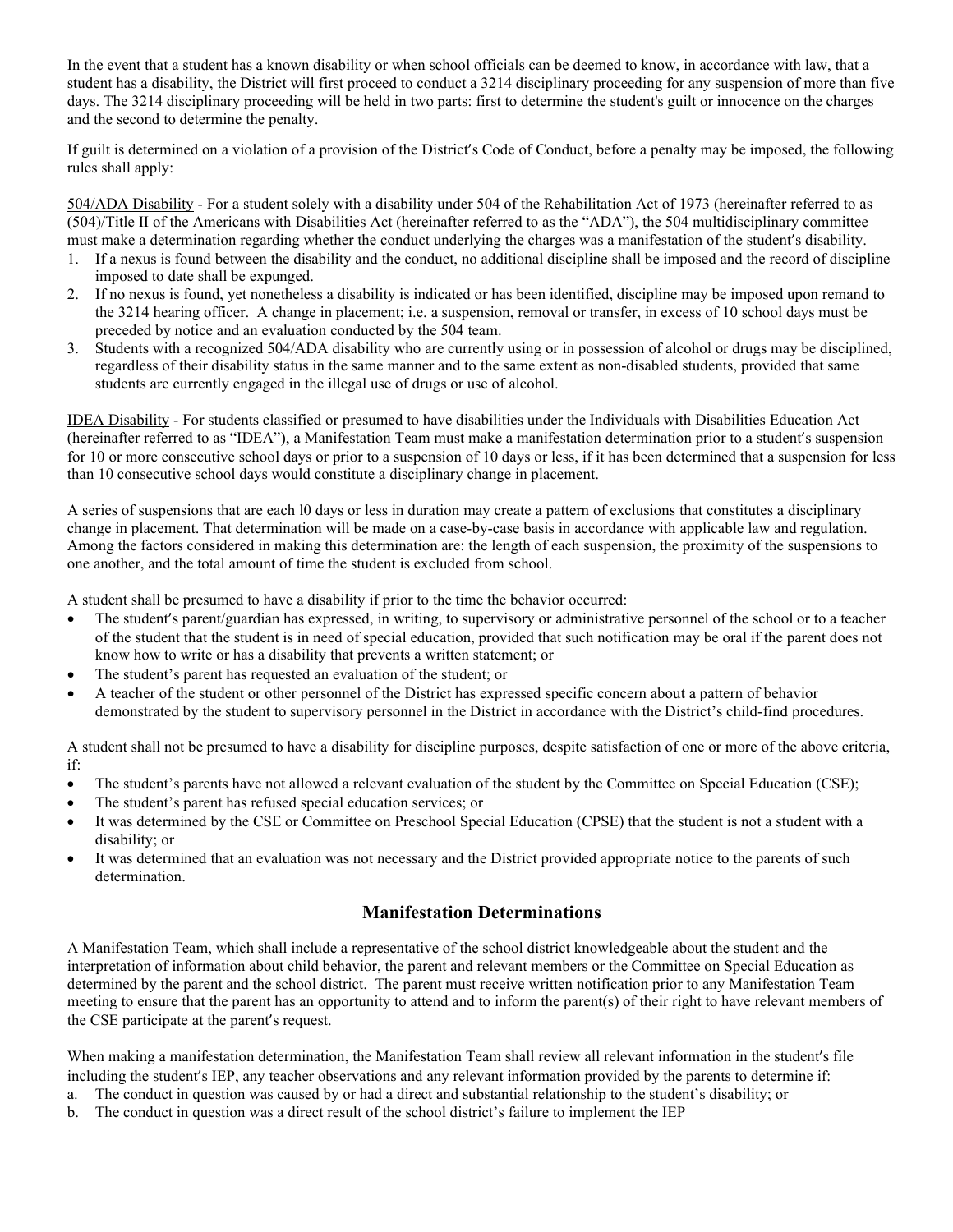In the event that a student has a known disability or when school officials can be deemed to know, in accordance with law, that a student has a disability, the District will first proceed to conduct a 3214 disciplinary proceeding for any suspension of more than five days. The 3214 disciplinary proceeding will be held in two parts: first to determine the student's guilt or innocence on the charges and the second to determine the penalty.

If guilt is determined on a violation of a provision of the District's Code of Conduct, before a penalty may be imposed, the following rules shall apply:

504/ADA Disability - For a student solely with a disability under 504 of the Rehabilitation Act of 1973 (hereinafter referred to as (504)/Title II of the Americans with Disabilities Act (hereinafter referred to as the "ADA"), the 504 multidisciplinary committee must make a determination regarding whether the conduct underlying the charges was a manifestation of the student's disability.

- 1. If a nexus is found between the disability and the conduct, no additional discipline shall be imposed and the record of discipline imposed to date shall be expunged.
- 2. If no nexus is found, yet nonetheless a disability is indicated or has been identified, discipline may be imposed upon remand to the 3214 hearing officer. A change in placement; i.e. a suspension, removal or transfer, in excess of 10 school days must be preceded by notice and an evaluation conducted by the 504 team.
- 3. Students with a recognized 504/ADA disability who are currently using or in possession of alcohol or drugs may be disciplined, regardless of their disability status in the same manner and to the same extent as non-disabled students, provided that same students are currently engaged in the illegal use of drugs or use of alcohol.

IDEA Disability - For students classified or presumed to have disabilities under the Individuals with Disabilities Education Act (hereinafter referred to as "IDEA"), a Manifestation Team must make a manifestation determination prior to a student's suspension for 10 or more consecutive school days or prior to a suspension of 10 days or less, if it has been determined that a suspension for less than 10 consecutive school days would constitute a disciplinary change in placement.

A series of suspensions that are each l0 days or less in duration may create a pattern of exclusions that constitutes a disciplinary change in placement. That determination will be made on a case-by-case basis in accordance with applicable law and regulation. Among the factors considered in making this determination are: the length of each suspension, the proximity of the suspensions to one another, and the total amount of time the student is excluded from school.

A student shall be presumed to have a disability if prior to the time the behavior occurred:

- The student's parent/guardian has expressed, in writing, to supervisory or administrative personnel of the school or to a teacher of the student that the student is in need of special education, provided that such notification may be oral if the parent does not know how to write or has a disability that prevents a written statement; or
- The student's parent has requested an evaluation of the student; or
- A teacher of the student or other personnel of the District has expressed specific concern about a pattern of behavior demonstrated by the student to supervisory personnel in the District in accordance with the District's child-find procedures.

A student shall not be presumed to have a disability for discipline purposes, despite satisfaction of one or more of the above criteria, if:

- The student's parents have not allowed a relevant evaluation of the student by the Committee on Special Education (CSE);
- The student's parent has refused special education services; or
- It was determined by the CSE or Committee on Preschool Special Education (CPSE) that the student is not a student with a disability; or
- It was determined that an evaluation was not necessary and the District provided appropriate notice to the parents of such determination.

### **Manifestation Determinations**

A Manifestation Team, which shall include a representative of the school district knowledgeable about the student and the interpretation of information about child behavior, the parent and relevant members or the Committee on Special Education as determined by the parent and the school district. The parent must receive written notification prior to any Manifestation Team meeting to ensure that the parent has an opportunity to attend and to inform the parent(s) of their right to have relevant members of the CSE participate at the parent's request.

When making a manifestation determination, the Manifestation Team shall review all relevant information in the student's file including the student's IEP, any teacher observations and any relevant information provided by the parents to determine if:

- a. The conduct in question was caused by or had a direct and substantial relationship to the student's disability; or
- b. The conduct in question was a direct result of the school district's failure to implement the IEP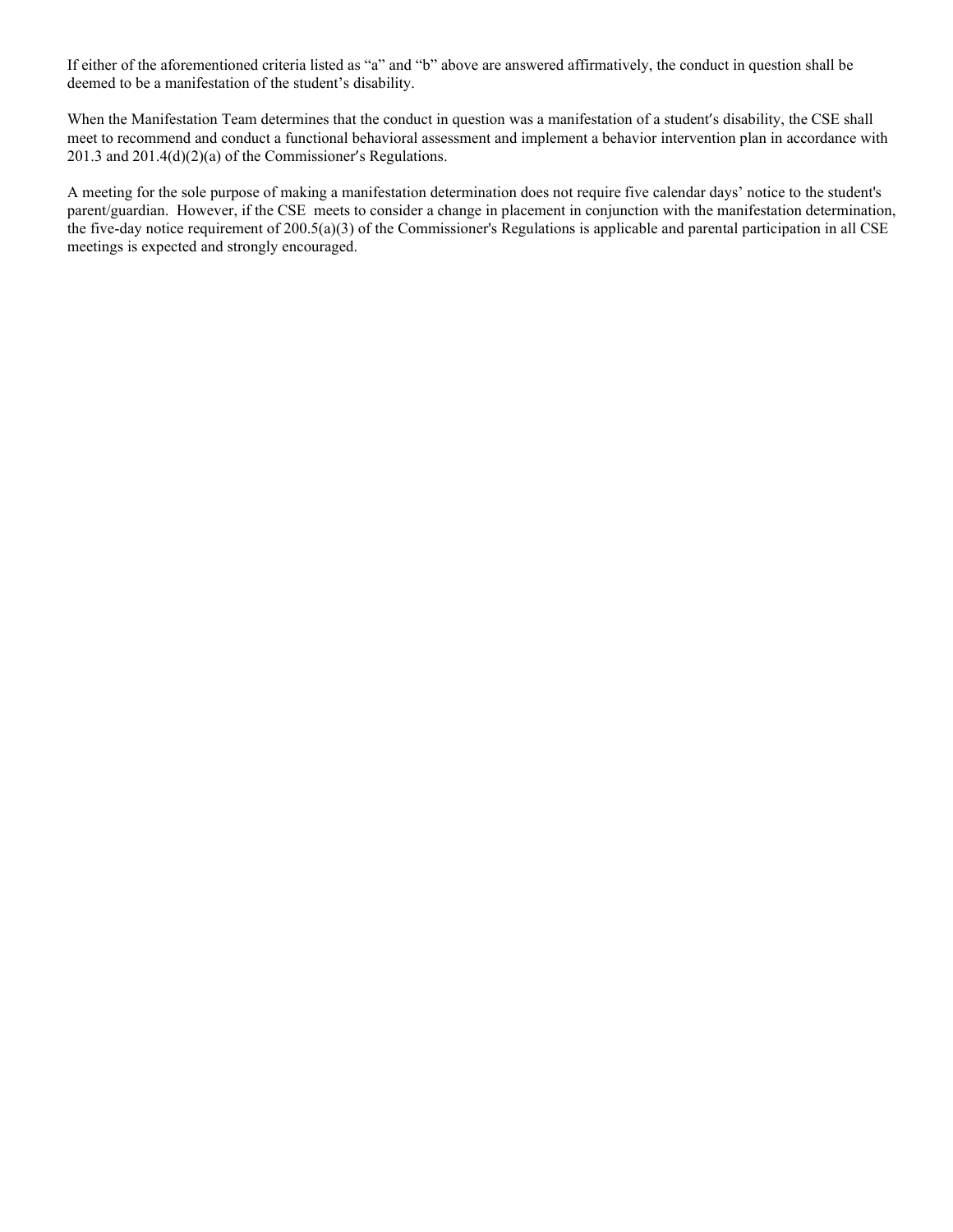If either of the aforementioned criteria listed as "a" and "b" above are answered affirmatively, the conduct in question shall be deemed to be a manifestation of the student's disability.

When the Manifestation Team determines that the conduct in question was a manifestation of a student's disability, the CSE shall meet to recommend and conduct a functional behavioral assessment and implement a behavior intervention plan in accordance with 201.3 and 201.4(d)(2)(a) of the Commissioner's Regulations.

A meeting for the sole purpose of making a manifestation determination does not require five calendar days' notice to the student's parent/guardian. However, if the CSE meets to consider a change in placement in conjunction with the manifestation determination, the five-day notice requirement of 200.5(a)(3) of the Commissioner's Regulations is applicable and parental participation in all CSE meetings is expected and strongly encouraged.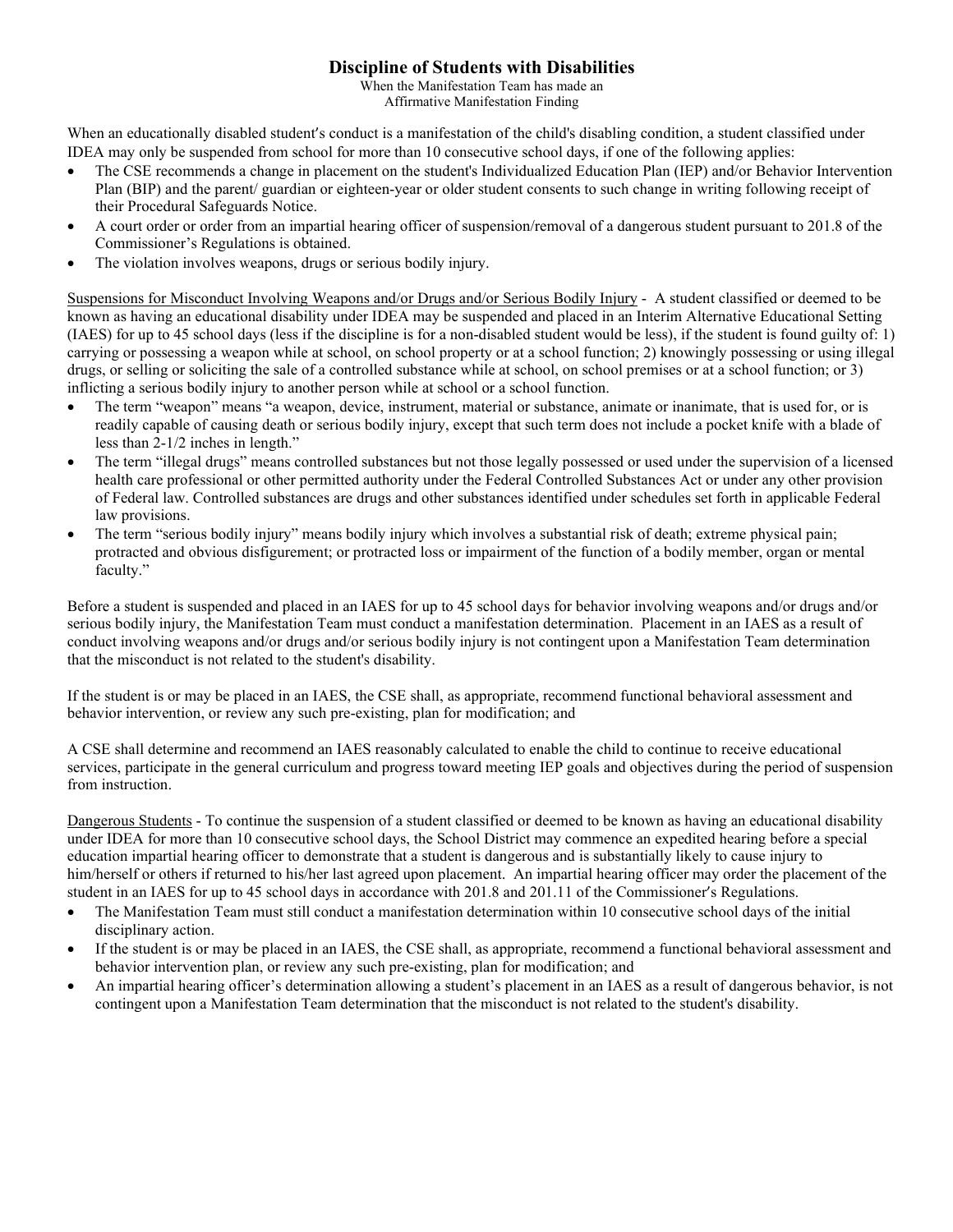### **Discipline of Students with Disabilities**

When the Manifestation Team has made an Affirmative Manifestation Finding

When an educationally disabled student's conduct is a manifestation of the child's disabling condition, a student classified under IDEA may only be suspended from school for more than 10 consecutive school days, if one of the following applies:

- The CSE recommends a change in placement on the student's Individualized Education Plan (IEP) and/or Behavior Intervention Plan (BIP) and the parent/ guardian or eighteen-year or older student consents to such change in writing following receipt of their Procedural Safeguards Notice.
- A court order or order from an impartial hearing officer of suspension/removal of a dangerous student pursuant to 201.8 of the Commissioner's Regulations is obtained.
- The violation involves weapons, drugs or serious bodily injury.

Suspensions for Misconduct Involving Weapons and/or Drugs and/or Serious Bodily Injury - A student classified or deemed to be known as having an educational disability under IDEA may be suspended and placed in an Interim Alternative Educational Setting (IAES) for up to 45 school days (less if the discipline is for a non-disabled student would be less), if the student is found guilty of: 1) carrying or possessing a weapon while at school, on school property or at a school function; 2) knowingly possessing or using illegal drugs, or selling or soliciting the sale of a controlled substance while at school, on school premises or at a school function; or 3) inflicting a serious bodily injury to another person while at school or a school function.

- The term "weapon" means "a weapon, device, instrument, material or substance, animate or inanimate, that is used for, or is readily capable of causing death or serious bodily injury, except that such term does not include a pocket knife with a blade of less than 2-1/2 inches in length."
- The term "illegal drugs" means controlled substances but not those legally possessed or used under the supervision of a licensed health care professional or other permitted authority under the Federal Controlled Substances Act or under any other provision of Federal law. Controlled substances are drugs and other substances identified under schedules set forth in applicable Federal law provisions.
- The term "serious bodily injury" means bodily injury which involves a substantial risk of death; extreme physical pain; protracted and obvious disfigurement; or protracted loss or impairment of the function of a bodily member, organ or mental faculty."

Before a student is suspended and placed in an IAES for up to 45 school days for behavior involving weapons and/or drugs and/or serious bodily injury, the Manifestation Team must conduct a manifestation determination. Placement in an IAES as a result of conduct involving weapons and/or drugs and/or serious bodily injury is not contingent upon a Manifestation Team determination that the misconduct is not related to the student's disability.

If the student is or may be placed in an IAES, the CSE shall, as appropriate, recommend functional behavioral assessment and behavior intervention, or review any such pre-existing, plan for modification; and

A CSE shall determine and recommend an IAES reasonably calculated to enable the child to continue to receive educational services, participate in the general curriculum and progress toward meeting IEP goals and objectives during the period of suspension from instruction.

Dangerous Students - To continue the suspension of a student classified or deemed to be known as having an educational disability under IDEA for more than 10 consecutive school days, the School District may commence an expedited hearing before a special education impartial hearing officer to demonstrate that a student is dangerous and is substantially likely to cause injury to him/herself or others if returned to his/her last agreed upon placement. An impartial hearing officer may order the placement of the student in an IAES for up to 45 school days in accordance with 201.8 and 201.11 of the Commissioner's Regulations.

- The Manifestation Team must still conduct a manifestation determination within 10 consecutive school days of the initial disciplinary action.
- If the student is or may be placed in an IAES, the CSE shall, as appropriate, recommend a functional behavioral assessment and behavior intervention plan, or review any such pre-existing, plan for modification; and
- An impartial hearing officer's determination allowing a student's placement in an IAES as a result of dangerous behavior, is not contingent upon a Manifestation Team determination that the misconduct is not related to the student's disability.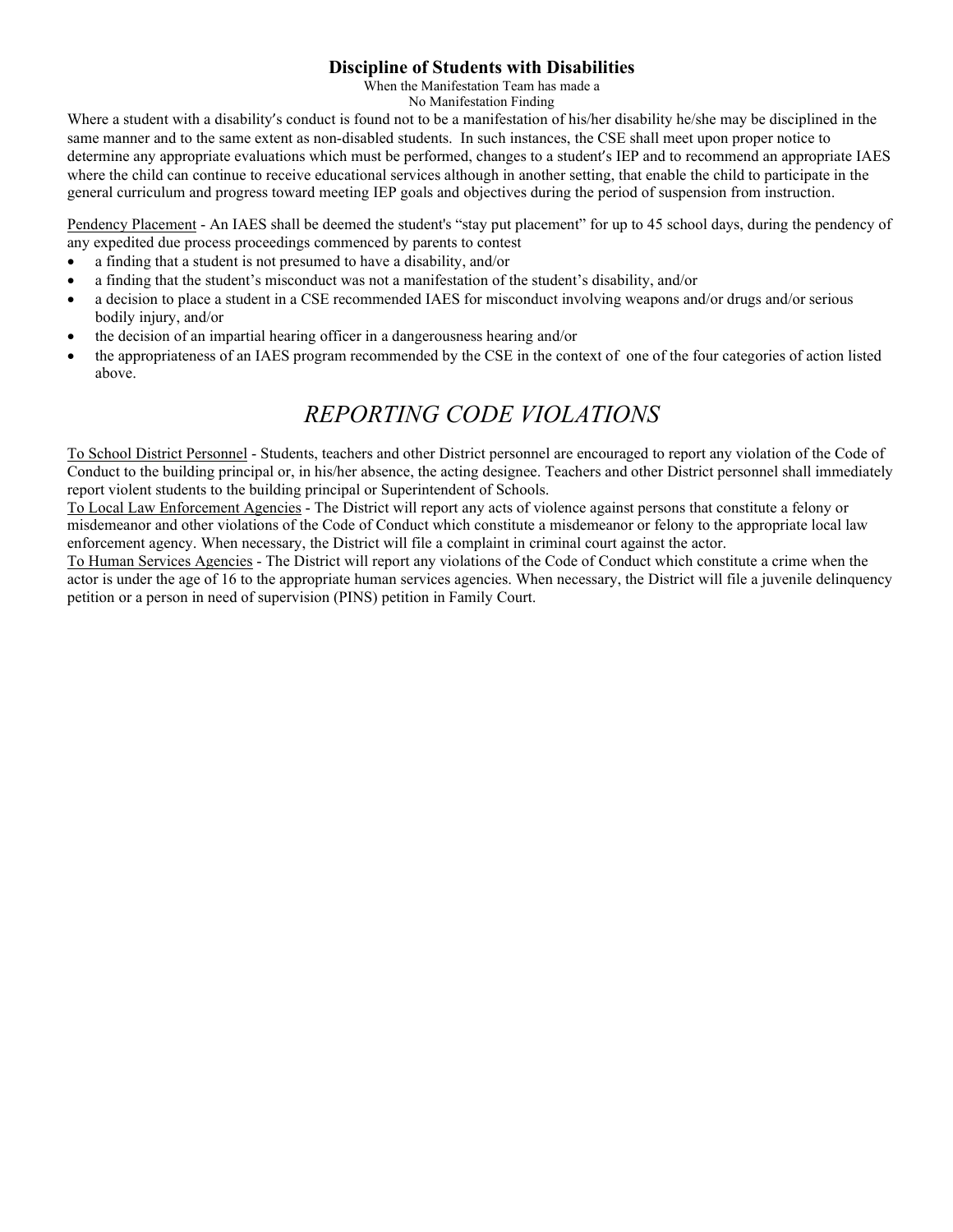### **Discipline of Students with Disabilities**

When the Manifestation Team has made a

No Manifestation Finding

Where a student with a disability's conduct is found not to be a manifestation of his/her disability he/she may be disciplined in the same manner and to the same extent as non-disabled students. In such instances, the CSE shall meet upon proper notice to determine any appropriate evaluations which must be performed, changes to a student's IEP and to recommend an appropriate IAES where the child can continue to receive educational services although in another setting, that enable the child to participate in the general curriculum and progress toward meeting IEP goals and objectives during the period of suspension from instruction.

Pendency Placement - An IAES shall be deemed the student's "stay put placement" for up to 45 school days, during the pendency of any expedited due process proceedings commenced by parents to contest

- a finding that a student is not presumed to have a disability, and/or
- a finding that the student's misconduct was not a manifestation of the student's disability, and/or
- a decision to place a student in a CSE recommended IAES for misconduct involving weapons and/or drugs and/or serious bodily injury, and/or
- the decision of an impartial hearing officer in a dangerousness hearing and/or
- the appropriateness of an IAES program recommended by the CSE in the context of one of the four categories of action listed above.

# *REPORTING CODE VIOLATIONS*

To School District Personnel - Students, teachers and other District personnel are encouraged to report any violation of the Code of Conduct to the building principal or, in his/her absence, the acting designee. Teachers and other District personnel shall immediately report violent students to the building principal or Superintendent of Schools.

To Local Law Enforcement Agencies - The District will report any acts of violence against persons that constitute a felony or misdemeanor and other violations of the Code of Conduct which constitute a misdemeanor or felony to the appropriate local law enforcement agency. When necessary, the District will file a complaint in criminal court against the actor.

To Human Services Agencies - The District will report any violations of the Code of Conduct which constitute a crime when the actor is under the age of 16 to the appropriate human services agencies. When necessary, the District will file a juvenile delinquency petition or a person in need of supervision (PINS) petition in Family Court.